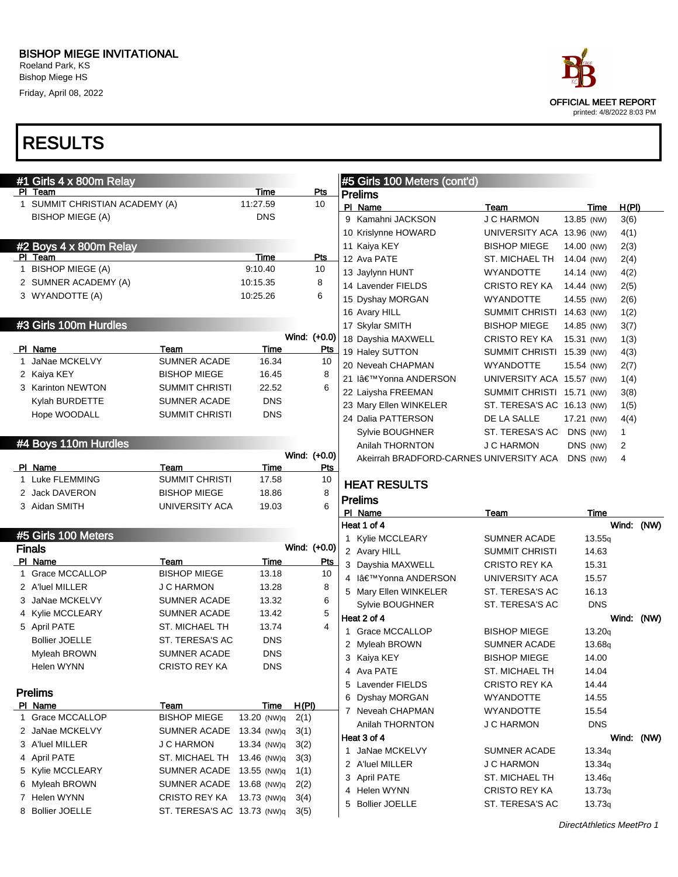Bishop Miege HS Friday, April 08, 2022

# RESULTS

#1 Girls 4 x 800m Relay

#### PI Team Pts 1 SUMMIT CHRISTIAN ACADEMY (A) 11:27.59 10 BISHOP MIEGE (A) DNS #2 Boys 4 x 800m Relay PI Team Pts 1 BISHOP MIEGE (A) 9:10.40 10 2 SUMNER ACADEMY (A) 10:15.35 8 3 WYANDOTTE (A) 10:25.26 6 #3 Girls 100m Hurdles Wind: (+0.0) PI Name Team Team Time Pts 1 JaNae MCKELVY SUMNER ACADE 16.34 10 2 Kaiya KEY BISHOP MIEGE 16.45 8 3 Karinton NEWTON SUMMIT CHRISTI 22.52 6 Kylah BURDETTE SUMNER ACADE DNS Hope WOODALL SUMMIT CHRISTI DNS #4 Boys 110m Hurdles Wind: (+0.0) PI Name **Team** Team Time Pts 1 Luke FLEMMING SUMMIT CHRISTI 17.58 10 2 Jack DAVERON BISHOP MIEGE 18.86 8 3 Aidan SMITH **UNIVERSITY ACA** 19.03 6 **#5 Girls 100 Meters** Finals Wind: (+0.0) PI Name **Team** Team Time Pts 1 Grace MCCALLOP BISHOP MIEGE 13.18 10 2 A'luel MILLER JC HARMON 13.28 8 3 JaNae MCKELVY SUMNER ACADE 13.32 6 4 Kylie MCCLEARY SUMNER ACADE 13.42 5 5 April PATE ST. MICHAEL TH 13.74 4 Bollier JOELLE ST. TERESA'S AC DNS Myleah BROWN SUMNER ACADE DNS Helen WYNN CRISTO REY KA DNS Prelims PI Name Team Team Team Time H(PI) 1 Grace MCCALLOP BISHOP MIEGE 13.20 (NW)q 2(1) 2 JaNae MCKELVY SUMNER ACADE 13.34 (NW)q 3(1) 3 A'luel MILLER J C HARMON 13.34 (NW)q 3(2) 4 April PATE ST. MICHAEL TH 13.46 (NW)q 3(3) 5 Kylie MCCLEARY SUMNER ACADE 13.55 (NW)q 1(1) 6 Myleah BROWN SUMNER ACADE 13.68 (NW)q 2(2) 7 Helen WYNN CRISTO REY KA 13.73 (NW)q 3(4) 8 Bollier JOELLE ST. TERESA'S AC 13.73 (NW)q 3(5) Prelims PI Name Team Team Time H(PI) 9 Kamahni JACKSON J C HARMON 13.85 (NW) 3(6) 10 Krislynne HOWARD UNIVERSITY ACA 13.96 (NW) 4(1) 11 Kaiya KEY BISHOP MIEGE 14.00 (NW) 2(3) 12 Ava PATE ST. MICHAEL TH 14.04 (NW) 2(4) 13 Jaylynn HUNT WYANDOTTE 14.14 (NW) 4(2) 14 Lavender FIELDS CRISTO REY KA 14.44 (NW) 2(5) 15 Dyshay MORGAN WYANDOTTE 14.55 (NW) 2(6) 16 Avary HILL SUMMIT CHRISTI 14.63 (NW) 1(2) 17 Skylar SMITH BISHOP MIEGE 14.85 (NW) 3(7) 18 Dayshia MAXWELL CRISTO REY KA 15.31 (NW) 1(3) 19 Haley SUTTON SUMMIT CHRISTI 15.39 (NW) 4(3) 20 Neveah CHAPMAN WYANDOTTE 15.54 (NW) 2(7) 21 I'Yonna ANDERSON UNIVERSITY ACA 15.57 (NW) 1(4) 22 Laiysha FREEMAN SUMMIT CHRISTI 15.71 (NW) 3(8) 23 Mary Ellen WINKELER ST. TERESA'S AC 16.13 (NW) 1(5) 24 Dalia PATTERSON DE LA SALLE 17.21 (NW) 4(4) Sylvie BOUGHNER ST. TERESA'S AC DNS (NW) 1 Anilah THORNTON JC HARMON DNS (NW) 2 Akeirrah BRADFORD-CARNES UNIVERSITY ACA DNS (NW) 4 HEAT RESULTS Prelims Pl Name Team Team Time Heat 1 of 4 Wind: (NW) 1 Kylie MCCLEARY SUMNER ACADE 13.55q 2 Avary HILL SUMMIT CHRISTI 14.63 3 Dayshia MAXWELL CRISTO REY KA 15.31 4 I'Yonna ANDERSON UNIVERSITY ACA 15.57 5 Mary Ellen WINKELER ST. TERESA'S AC 16.13 Sylvie BOUGHNER ST. TERESA'S AC DNS Heat 2 of 4 Wind: (NW) 1 Grace MCCALLOP BISHOP MIEGE 13.20q 2 Myleah BROWN SUMNER ACADE 13.68q 3 Kaiya KEY BISHOP MIEGE 14.00 4 Ava PATE ST. MICHAEL TH 14.04 5 Lavender FIELDS CRISTO REY KA 14.44 6 Dyshay MORGAN WYANDOTTE 14.55 7 Neveah CHAPMAN WYANDOTTE 15.54 Anilah THORNTON JC HARMON DNS Heat 3 of 4 Wind: (NW) 1 JaNae MCKELVY SUMNER ACADE 13.34q 2 A'luel MILLER JC HARMON 13.34q 3 April PATE ST. MICHAEL TH 13.46q 4 Helen WYNN CRISTO REY KA 13.73q 5 Bollier JOELLE ST. TERESA'S AC 13.73q

#5 Girls 100 Meters (cont'd)

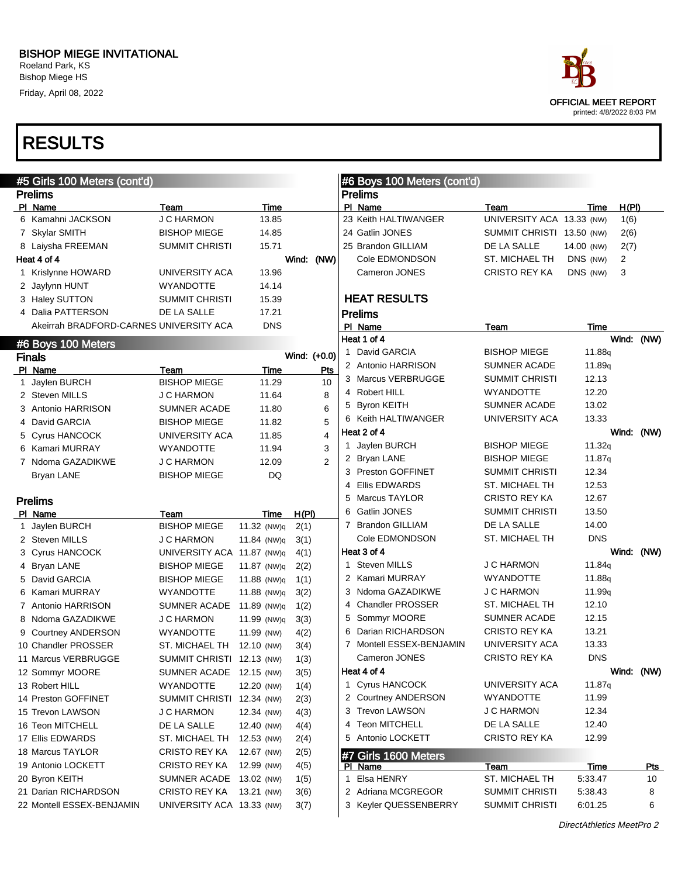Roeland Park, KS Bishop Miege HS Friday, April 08, 2022



| #5 Girls 100 Meters (cont'd)            |                            |             |                | #6 Boys 100 Meters (cont'd) |                           |                    |       |            |
|-----------------------------------------|----------------------------|-------------|----------------|-----------------------------|---------------------------|--------------------|-------|------------|
| <b>Prelims</b>                          |                            |             |                | <b>Prelims</b>              |                           |                    |       |            |
| PI Name                                 | Team                       | Time        |                | PI Name                     | Team                      | Time               | H(PI) |            |
| 6 Kamahni JACKSON                       | <b>J C HARMON</b>          | 13.85       |                | 23 Keith HALTIWANGER        | UNIVERSITY ACA 13.33 (NW) |                    | 1(6)  |            |
| 7 Skylar SMITH                          | <b>BISHOP MIEGE</b>        | 14.85       |                | 24 Gatlin JONES             | SUMMIT CHRISTI 13.50 (NW) |                    | 2(6)  |            |
| 8 Laiysha FREEMAN                       | <b>SUMMIT CHRISTI</b>      | 15.71       |                | 25 Brandon GILLIAM          | DE LA SALLE               | 14.00 (NW)         | 2(7)  |            |
| Heat 4 of 4                             |                            |             | Wind: (NW)     | Cole EDMONDSON              | ST. MICHAEL TH            | DNS (NW)           | 2     |            |
| 1 Krislynne HOWARD                      | UNIVERSITY ACA             | 13.96       |                | Cameron JONES               | <b>CRISTO REY KA</b>      | DNS (NW)           | 3     |            |
| 2 Jaylynn HUNT                          | <b>WYANDOTTE</b>           | 14.14       |                |                             |                           |                    |       |            |
| 3 Haley SUTTON                          | <b>SUMMIT CHRISTI</b>      | 15.39       |                | <b>HEAT RESULTS</b>         |                           |                    |       |            |
| 4 Dalia PATTERSON                       | DE LA SALLE                | 17.21       |                | <b>Prelims</b>              |                           |                    |       |            |
| Akeirrah BRADFORD-CARNES UNIVERSITY ACA |                            | <b>DNS</b>  |                | PI Name                     | Team                      | Time               |       |            |
| #6 Boys 100 Meters                      |                            |             |                | Heat 1 of 4                 |                           |                    |       | Wind: (NW) |
| <b>Finals</b>                           |                            |             | Wind: (+0.0)   | 1 David GARCIA              | <b>BISHOP MIEGE</b>       | 11.88g             |       |            |
| PI Name                                 | Team                       | Time        | Pts            | 2 Antonio HARRISON          | <b>SUMNER ACADE</b>       | 11.89 <sub>q</sub> |       |            |
| 1 Jaylen BURCH                          | <b>BISHOP MIEGE</b>        | 11.29       | 10             | 3 Marcus VERBRUGGE          | SUMMIT CHRISTI            | 12.13              |       |            |
| 2 Steven MILLS                          | <b>J C HARMON</b>          | 11.64       | 8              | 4 Robert HILL               | <b>WYANDOTTE</b>          | 12.20              |       |            |
| 3 Antonio HARRISON                      | <b>SUMNER ACADE</b>        | 11.80       | 6              | 5 Byron KEITH               | <b>SUMNER ACADE</b>       | 13.02              |       |            |
| 4 David GARCIA                          | <b>BISHOP MIEGE</b>        | 11.82       | 5              | 6 Keith HALTIWANGER         | UNIVERSITY ACA            | 13.33              |       |            |
| 5 Cyrus HANCOCK                         | UNIVERSITY ACA             | 11.85       | 4              | Heat 2 of 4                 |                           |                    |       | Wind: (NW) |
| 6 Kamari MURRAY                         | <b>WYANDOTTE</b>           | 11.94       | 3              | 1 Jaylen BURCH              | <b>BISHOP MIEGE</b>       | 11.32q             |       |            |
| 7 Ndoma GAZADIKWE                       | <b>J C HARMON</b>          | 12.09       | $\overline{2}$ | 2 Bryan LANE                | <b>BISHOP MIEGE</b>       | 11.87q             |       |            |
| Bryan LANE                              | <b>BISHOP MIEGE</b>        | DQ          |                | 3 Preston GOFFINET          | SUMMIT CHRISTI            | 12.34              |       |            |
|                                         |                            |             |                | 4 Ellis EDWARDS             | <b>ST. MICHAEL TH</b>     | 12.53              |       |            |
| <b>Prelims</b>                          |                            |             |                | 5 Marcus TAYLOR             | <b>CRISTO REY KA</b>      | 12.67              |       |            |
| PI Name                                 | Team                       | Time        | H(PI)          | 6 Gatlin JONES              | <b>SUMMIT CHRISTI</b>     | 13.50              |       |            |
| 1 Jaylen BURCH                          | <b>BISHOP MIEGE</b>        | 11.32 (NW)q | 2(1)           | 7 Brandon GILLIAM           | DE LA SALLE               | 14.00              |       |            |
| 2 Steven MILLS                          | J C HARMON                 | 11.84 (NW)q | 3(1)           | Cole EDMONDSON              | ST. MICHAEL TH            | <b>DNS</b>         |       |            |
| 3 Cyrus HANCOCK                         | UNIVERSITY ACA 11.87 (NW)q |             | 4(1)           | Heat 3 of 4                 |                           |                    |       | Wind: (NW) |
| 4 Bryan LANE                            | <b>BISHOP MIEGE</b>        | 11.87 (NW)q | 2(2)           | 1 Steven MILLS              | <b>J C HARMON</b>         | 11.84g             |       |            |
| 5 David GARCIA                          | <b>BISHOP MIEGE</b>        | 11.88 (NW)q | 1(1)           | 2 Kamari MURRAY             | <b>WYANDOTTE</b>          | 11.88q             |       |            |
| 6 Kamari MURRAY                         | <b>WYANDOTTE</b>           | 11.88 (NW)q | 3(2)           | 3 Ndoma GAZADIKWE           | J C HARMON                | 11.99 <sub>q</sub> |       |            |
| 7 Antonio HARRISON                      | SUMNER ACADE 11.89 (NW)q   |             | 1(2)           | 4 Chandler PROSSER          | ST. MICHAEL TH            | 12.10              |       |            |
| 8 Ndoma GAZADIKWE                       | <b>J C HARMON</b>          | 11.99 (NW)q | 3(3)           | 5 Sommyr MOORE              | SUMNER ACADE              | 12.15              |       |            |
| 9 Courtney ANDERSON                     | <b>WYANDOTTE</b>           | 11.99 (NW)  | 4(2)           | 6 Darian RICHARDSON         | <b>CRISTO REY KA</b>      | 13.21              |       |            |
| 10 Chandler PROSSER                     | ST. MICHAEL TH             | 12.10 (NW)  | 3(4)           | 7 Montell ESSEX-BENJAMIN    | UNIVERSITY ACA            | 13.33              |       |            |
| 11 Marcus VERBRUGGE                     | SUMMIT CHRISTI 12.13 (NW)  |             | 1(3)           | Cameron JONES               | <b>CRISTO REY KA</b>      | <b>DNS</b>         |       |            |
| 12 Sommyr MOORE                         | SUMNER ACADE 12.15 (NW)    |             | 3(5)           | Heat 4 of 4                 |                           |                    |       | Wind: (NW) |
| 13 Robert HILL                          | <b>WYANDOTTE</b>           | 12.20 (NW)  | 1(4)           | 1 Cyrus HANCOCK             | UNIVERSITY ACA            | 11.87q             |       |            |
| 14 Preston GOFFINET                     | SUMMIT CHRISTI 12.34 (NW)  |             | 2(3)           | 2 Courtney ANDERSON         | WYANDOTTE                 | 11.99              |       |            |
| 15 Trevon LAWSON                        | J C HARMON                 | 12.34 (NW)  | 4(3)           | 3 Trevon LAWSON             | J C HARMON                | 12.34              |       |            |
| 16 Teon MITCHELL                        | DE LA SALLE                | 12.40 (NW)  | 4(4)           | 4 Teon MITCHELL             | DE LA SALLE               | 12.40              |       |            |
| 17 Ellis EDWARDS                        | ST. MICHAEL TH             | 12.53 (NW)  | 2(4)           | 5 Antonio LOCKETT           | CRISTO REY KA             | 12.99              |       |            |
| 18 Marcus TAYLOR                        | <b>CRISTO REY KA</b>       | 12.67 (NW)  | 2(5)           | #7 Girls 1600 Meters        |                           |                    |       |            |
| 19 Antonio LOCKETT                      | <b>CRISTO REY KA</b>       | 12.99 (NW)  | 4(5)           | PI Name                     | <u>Team</u>               | <u>Time</u>        |       | <u>Pts</u> |
| 20 Byron KEITH                          | SUMNER ACADE 13.02 (NW)    |             | 1(5)           | 1 Elsa HENRY                | ST. MICHAEL TH            | 5:33.47            |       | 10         |
| 21 Darian RICHARDSON                    | <b>CRISTO REY KA</b>       | 13.21 (NW)  | 3(6)           | 2 Adriana MCGREGOR          | <b>SUMMIT CHRISTI</b>     | 5:38.43            |       | 8          |
| 22 Montell ESSEX-BENJAMIN               | UNIVERSITY ACA 13.33 (NW)  |             | 3(7)           | 3 Keyler QUESSENBERRY       | <b>SUMMIT CHRISTI</b>     | 6:01.25            |       | 6          |
|                                         |                            |             |                |                             |                           |                    |       |            |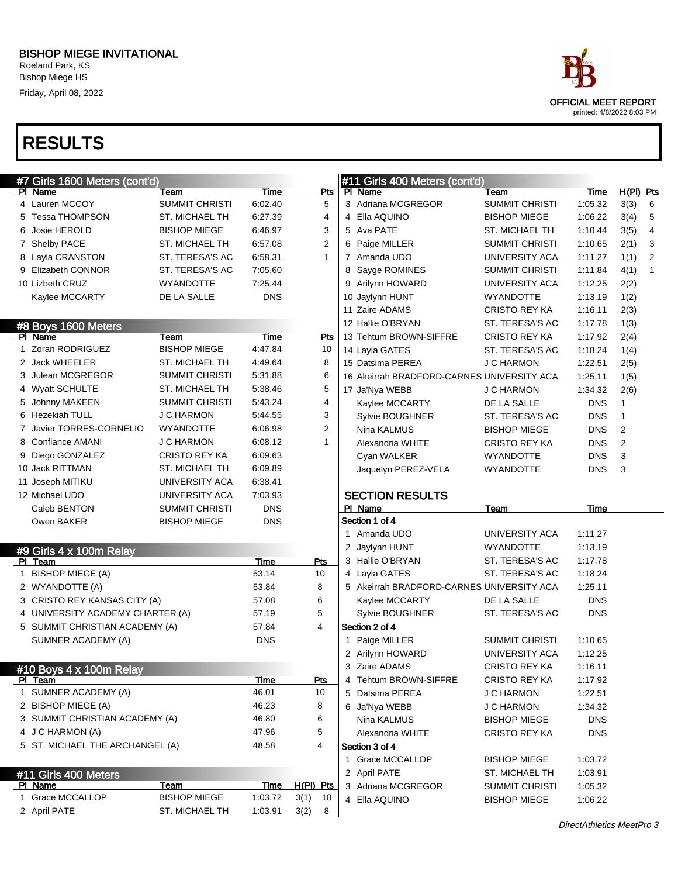Roeland Park, KS Bishop Miege HS Friday, April 08, 2022



| #7 Girls 1600 Meters (cont'd)    |                                       |                    |                         | #11 Girls 400 Meters (cont'd)              |                       |            |                |              |
|----------------------------------|---------------------------------------|--------------------|-------------------------|--------------------------------------------|-----------------------|------------|----------------|--------------|
| PI Name                          | Team                                  | Time               | Pts                     | PI Name                                    | Team                  | Time       | H(PI) Pts      |              |
| 4 Lauren MCCOY                   | <b>SUMMIT CHRISTI</b>                 | 6:02.40            | 5                       | 3 Adriana MCGREGOR                         | <b>SUMMIT CHRISTI</b> | 1:05.32    | 3(3)           | 6            |
| 5 Tessa THOMPSON                 | <b>ST. MICHAEL TH</b>                 | 6:27.39            | 4                       | 4 Ella AQUINO                              | <b>BISHOP MIEGE</b>   | 1:06.22    | 3(4)           | 5            |
| Josie HEROLD                     | <b>BISHOP MIEGE</b>                   | 6:46.97            | 3                       | 5 Ava PATE                                 | ST. MICHAEL TH        | 1:10.44    | 3(5)           | 4            |
| 7 Shelby PACE                    | <b>ST. MICHAEL TH</b>                 | 6:57.08            | 2                       | 6 Paige MILLER                             | <b>SUMMIT CHRISTI</b> | 1:10.65    | 2(1)           | 3            |
| 8 Layla CRANSTON                 | ST. TERESA'S AC                       | 6.58.31            | $\mathbf{1}$            | 7 Amanda UDO                               | UNIVERSITY ACA        | 1:11.27    | 1(1)           | 2            |
| 9 Elizabeth CONNOR               | ST. TERESA'S AC                       | 7:05.60            |                         | Sayge ROMINES<br>8                         | <b>SUMMIT CHRISTI</b> | 1:11.84    | 4(1)           | $\mathbf{1}$ |
| 10 Lizbeth CRUZ                  | <b>WYANDOTTE</b>                      | 7:25.44            |                         | 9 Arilynn HOWARD                           | UNIVERSITY ACA        | 1:12.25    | 2(2)           |              |
| Kaylee MCCARTY                   | DE LA SALLE                           | <b>DNS</b>         |                         | 10 Jaylynn HUNT                            | <b>WYANDOTTE</b>      | 1:13.19    | 1(2)           |              |
|                                  |                                       |                    |                         | 11 Zaire ADAMS                             | <b>CRISTO REY KA</b>  | 1:16.11    | 2(3)           |              |
| #8 Boys 1600 Meters              |                                       |                    |                         | 12 Hallie O'BRYAN                          | ST. TERESA'S AC       | 1:17.78    | 1(3)           |              |
| PI Name                          | Team                                  | <b>Time</b>        | <b>Pts</b>              | 13 Tehtum BROWN-SIFFRE                     | <b>CRISTO REY KA</b>  | 1:17.92    | 2(4)           |              |
| 1 Zoran RODRIGUEZ                | <b>BISHOP MIEGE</b>                   | 4:47.84            | 10                      | 14 Layla GATES                             | ST. TERESA'S AC       | 1:18.24    | 1(4)           |              |
| 2 Jack WHEELER                   | <b>ST. MICHAEL TH</b>                 | 4:49.64            | 8                       | 15 Datsima PEREA                           | J C HARMON            | 1:22.51    | 2(5)           |              |
| 3 Julean MCGREGOR                | <b>SUMMIT CHRISTI</b>                 | 5:31.88            | 6                       | 16 Akeirrah BRADFORD-CARNES UNIVERSITY ACA |                       | 1:25.11    | 1(5)           |              |
| 4 Wyatt SCHULTE                  | <b>ST. MICHAEL TH</b>                 | 5:38.46            | 5                       | 17 Ja'Nya WEBB                             | J C HARMON            | 1:34.32    | 2(6)           |              |
| 5 Johnny MAKEEN                  | <b>SUMMIT CHRISTI</b>                 | 5:43.24            | 4                       | Kaylee MCCARTY                             | DE LA SALLE           | <b>DNS</b> | $\mathbf{1}$   |              |
| 6 Hezekiah TULL                  | <b>J C HARMON</b>                     | 5:44.55            | 3                       | Sylvie BOUGHNER                            | ST. TERESA'S AC       | <b>DNS</b> | 1              |              |
| 7 Javier TORRES-CORNELIO         | <b>WYANDOTTE</b>                      | 6:06.98            | 2                       | Nina KALMUS                                | <b>BISHOP MIEGE</b>   | <b>DNS</b> | $\overline{2}$ |              |
| 8 Confiance AMANI                | <b>J C HARMON</b>                     | 6:08.12            | $\mathbf{1}$            | Alexandria WHITE                           | <b>CRISTO REY KA</b>  | <b>DNS</b> | 2              |              |
| 9 Diego GONZALEZ                 | <b>CRISTO REY KA</b>                  | 6:09.63            |                         | Cyan WALKER                                | <b>WYANDOTTE</b>      | <b>DNS</b> | 3              |              |
| 10 Jack RITTMAN                  | <b>ST. MICHAEL TH</b>                 | 6:09.89            |                         | Jaquelyn PEREZ-VELA                        | <b>WYANDOTTE</b>      | <b>DNS</b> | 3              |              |
| 11 Joseph MITIKU                 | UNIVERSITY ACA                        | 6:38.41            |                         |                                            |                       |            |                |              |
| 12 Michael UDO                   | UNIVERSITY ACA                        | 7:03.93            |                         | <b>SECTION RESULTS</b>                     |                       |            |                |              |
|                                  |                                       |                    |                         |                                            |                       |            |                |              |
| Caleb BENTON                     | <b>SUMMIT CHRISTI</b>                 | <b>DNS</b>         |                         | PI Name                                    | Team                  | Time       |                |              |
| Owen BAKER                       | <b>BISHOP MIEGE</b>                   | <b>DNS</b>         |                         | Section 1 of 4                             |                       |            |                |              |
|                                  |                                       |                    |                         | 1 Amanda UDO                               | UNIVERSITY ACA        | 1:11.27    |                |              |
| #9 Girls 4 x 100m Relay          |                                       |                    |                         | 2 Jaylynn HUNT                             | <b>WYANDOTTE</b>      | 1:13.19    |                |              |
| PI Team                          |                                       | Time               | Pts                     | 3 Hallie O'BRYAN                           | ST. TERESA'S AC       | 1:17.78    |                |              |
| 1 BISHOP MIEGE (A)               |                                       | 53.14              | 10                      | 4 Layla GATES                              | ST. TERESA'S AC       | 1:18.24    |                |              |
| 2 WYANDOTTE (A)                  |                                       | 53.84              | 8                       | 5 Akeirrah BRADFORD-CARNES UNIVERSITY ACA  |                       | 1:25.11    |                |              |
| 3 CRISTO REY KANSAS CITY (A)     |                                       | 57.08              | 6                       | Kaylee MCCARTY                             | DE LA SALLE           | <b>DNS</b> |                |              |
| 4 UNIVERSITY ACADEMY CHARTER (A) |                                       | 57.19              | 5                       | Sylvie BOUGHNER                            | ST. TERESA'S AC       | <b>DNS</b> |                |              |
| 5 SUMMIT CHRISTIAN ACADEMY (A)   |                                       | 57.84              | 4                       | Section 2 of 4                             |                       |            |                |              |
| SUMNER ACADEMY (A)               |                                       | <b>DNS</b>         |                         | 1 Paige MILLER                             | <b>SUMMIT CHRISTI</b> | 1:10.65    |                |              |
|                                  |                                       |                    |                         | 2 Arilynn HOWARD                           | UNIVERSITY ACA        | 1:12.25    |                |              |
| #10 Boys 4 x 100m Relay          |                                       |                    |                         | 3 Zaire ADAMS                              | <b>CRISTO REY KA</b>  | 1:16.11    |                |              |
| PI Team                          |                                       | <b>Time</b>        | Pts                     | 4 Tehtum BROWN-SIFFRE                      | CRISTO REY KA         | 1:17.92    |                |              |
| 1 SUMNER ACADEMY (A)             |                                       | 46.01              | 10                      | 5 Datsima PEREA                            | <b>J C HARMON</b>     | 1:22.51    |                |              |
| 2 BISHOP MIEGE (A)               |                                       | 46.23              | 8                       | 6 Ja'Nya WEBB                              | <b>J C HARMON</b>     | 1:34.32    |                |              |
| 3 SUMMIT CHRISTIAN ACADEMY (A)   |                                       | 46.80              | 6                       | Nina KALMUS                                | <b>BISHOP MIEGE</b>   | <b>DNS</b> |                |              |
| 4 J C HARMON (A)                 |                                       | 47.96              | 5                       | Alexandria WHITE                           | <b>CRISTO REY KA</b>  | <b>DNS</b> |                |              |
| 5 ST. MICHAEL THE ARCHANGEL (A)  |                                       | 48.58              | 4                       | Section 3 of 4                             |                       |            |                |              |
|                                  |                                       |                    |                         | 1 Grace MCCALLOP                           | <b>BISHOP MIEGE</b>   | 1:03.72    |                |              |
| #11 Girls 400 Meters             |                                       |                    |                         | 2 April PATE                               | ST. MICHAEL TH        | 1:03.91    |                |              |
| PI Name                          | Team                                  | <u>Time</u>        | H(PI) Pts               | 3 Adriana MCGREGOR                         | <b>SUMMIT CHRISTI</b> | 1:05.32    |                |              |
| 1 Grace MCCALLOP<br>2 April PATE | <b>BISHOP MIEGE</b><br>ST. MICHAEL TH | 1:03.72<br>1:03.91 | 3(1)<br>10<br>3(2)<br>8 | 4 Ella AQUINO                              | <b>BISHOP MIEGE</b>   | 1:06.22    |                |              |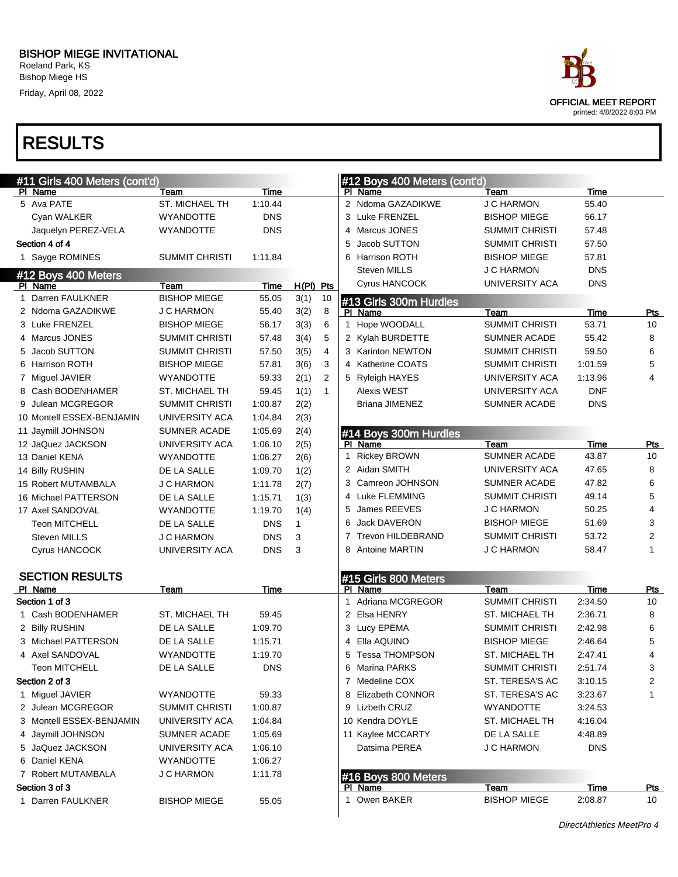Bishop Miege HS Friday, April 08, 2022



| #11 Girls 400 Meters (cont'd) |                       |             |              |              |              | #12 Boys 400 Meters (cont'd) |                       |            |                |
|-------------------------------|-----------------------|-------------|--------------|--------------|--------------|------------------------------|-----------------------|------------|----------------|
| PI Name                       | Team                  | Time        |              |              |              | PI Name                      | Team                  | Time       |                |
| 5 Ava PATE                    | ST. MICHAEL TH        | 1:10.44     |              |              |              | 2 Ndoma GAZADIKWE            | <b>J C HARMON</b>     | 55.40      |                |
| Cyan WALKER                   | <b>WYANDOTTE</b>      | <b>DNS</b>  |              |              |              | 3 Luke FRENZEL               | <b>BISHOP MIEGE</b>   | 56.17      |                |
| Jaquelyn PEREZ-VELA           | <b>WYANDOTTE</b>      | <b>DNS</b>  |              |              | 4            | Marcus JONES                 | <b>SUMMIT CHRISTI</b> | 57.48      |                |
| Section 4 of 4                |                       |             |              |              | 5            | Jacob SUTTON                 | SUMMIT CHRISTI        | 57.50      |                |
| 1 Sayge ROMINES               | SUMMIT CHRISTI        | 1.11.84     |              |              | 6            | <b>Harrison ROTH</b>         | <b>BISHOP MIEGE</b>   | 57.81      |                |
| #12 Boys 400 Meters           |                       |             |              |              |              | <b>Steven MILLS</b>          | J C HARMON            | <b>DNS</b> |                |
| PI Name                       | Team                  | <b>Time</b> | H(PI) Pts    |              |              | Cyrus HANCOCK                | <b>UNIVERSITY ACA</b> | <b>DNS</b> |                |
| 1 Darren FAULKNER             | <b>BISHOP MIEGE</b>   | 55.05       | 3(1)         | 10           |              | #13 Girls 300m Hurdles       |                       |            |                |
| 2 Ndoma GAZADIKWE             | <b>J C HARMON</b>     | 55.40       | 3(2)         | 8            |              | PI Name                      | Team                  | Time       | Pts            |
| 3 Luke FRENZEL                | <b>BISHOP MIEGE</b>   | 56.17       | 3(3)         | 6            | 1.           | Hope WOODALL                 | <b>SUMMIT CHRISTI</b> | 53.71      | 10             |
| 4 Marcus JONES                | <b>SUMMIT CHRISTI</b> | 57.48       | 3(4)         | 5            |              | 2 Kylah BURDETTE             | <b>SUMNER ACADE</b>   | 55.42      | 8              |
| 5 Jacob SUTTON                | SUMMIT CHRISTI        | 57.50       | 3(5)         | 4            |              | 3 Karinton NEWTON            | SUMMIT CHRISTI        | 59.50      | 6              |
| 6 Harrison ROTH               | <b>BISHOP MIEGE</b>   | 57.81       | 3(6)         | 3            | 4            | Katherine COATS              | SUMMIT CHRISTI        | 1:01.59    | 5              |
| 7 Miguel JAVIER               | <b>WYANDOTTE</b>      | 59.33       | 2(1)         | 2            |              | 5 Ryleigh HAYES              | UNIVERSITY ACA        | 1:13.96    | 4              |
| 8 Cash BODENHAMER             | <b>ST. MICHAEL TH</b> | 59.45       | 1(1)         | $\mathbf{1}$ |              | <b>Alexis WEST</b>           | UNIVERSITY ACA        | <b>DNF</b> |                |
| 9 Julean MCGREGOR             | <b>SUMMIT CHRISTI</b> | 1:00.87     | 2(2)         |              |              | Briana JIMENEZ               | SUMNER ACADE          | <b>DNS</b> |                |
| 10 Montell ESSEX-BENJAMIN     | UNIVERSITY ACA        | 1:04.84     | 2(3)         |              |              |                              |                       |            |                |
| 11 Jaymill JOHNSON            | <b>SUMNER ACADE</b>   | 1:05.69     | 2(4)         |              |              | #14 Boys 300m Hurdles        |                       |            |                |
| 12 JaQuez JACKSON             | UNIVERSITY ACA        | 1:06.10     | 2(5)         |              |              | PI Name                      | Team                  | Time       | <u>Pts</u>     |
| 13 Daniel KENA                | <b>WYANDOTTE</b>      | 1:06.27     | 2(6)         |              | $\mathbf{1}$ | <b>Rickey BROWN</b>          | <b>SUMNER ACADE</b>   | 43.87      | 10             |
| 14 Billy RUSHIN               | DE LA SALLE           | 1:09.70     | 1(2)         |              |              | 2 Aidan SMITH                | UNIVERSITY ACA        | 47.65      | 8              |
| 15 Robert MUTAMBALA           | <b>J C HARMON</b>     | 1:11.78     | 2(7)         |              | 3            | Camreon JOHNSON              | SUMNER ACADE          | 47.82      | 6              |
| 16 Michael PATTERSON          | DE LA SALLE           | 1:15.71     | 1(3)         |              | 4            | Luke FLEMMING                | <b>SUMMIT CHRISTI</b> | 49.14      | 5              |
| 17 Axel SANDOVAL              | <b>WYANDOTTE</b>      | 1:19.70     | 1(4)         |              | 5            | James REEVES                 | J C HARMON            | 50.25      | 4              |
| <b>Teon MITCHELL</b>          | DE LA SALLE           | <b>DNS</b>  | $\mathbf{1}$ |              | 6            | Jack DAVERON                 | <b>BISHOP MIEGE</b>   | 51.69      | 3              |
| <b>Steven MILLS</b>           | <b>J C HARMON</b>     | <b>DNS</b>  | 3            |              | 7            | <b>Trevon HILDEBRAND</b>     | <b>SUMMIT CHRISTI</b> | 53.72      | 2              |
| Cyrus HANCOCK                 | UNIVERSITY ACA        | <b>DNS</b>  | 3            |              | 8            | <b>Antoine MARTIN</b>        | J C HARMON            | 58.47      | $\mathbf{1}$   |
|                               |                       |             |              |              |              |                              |                       |            |                |
| <b>SECTION RESULTS</b>        |                       |             |              |              |              | #15 Girls 800 Meters         |                       |            |                |
| PI Name                       | Team                  | Time        |              |              |              | PI Name                      | Team                  | Time       | <b>Pts</b>     |
| Section 1 of 3                |                       |             |              |              | $\mathbf{1}$ | Adriana MCGREGOR             | <b>SUMMIT CHRISTI</b> | 2:34.50    | 10             |
| 1 Cash BODENHAMER             | <b>ST. MICHAEL TH</b> | 59.45       |              |              |              | 2 Elsa HENRY                 | <b>ST. MICHAEL TH</b> | 2:36.71    | 8              |
| 2 Billy RUSHIN                | DE LA SALLE           | 1:09.70     |              |              |              | 3 Lucy EPEMA                 | <b>SUMMIT CHRISTI</b> | 2:42.98    | 6              |
| 3 Michael PATTERSON           | DE LA SALLE           | 1:15.71     |              |              | 4            | Ella AQUINO                  | <b>BISHOP MIEGE</b>   | 2:46.64    | 5              |
| 4 Axel SANDOVAL               | <b>WYANDOTTE</b>      | 1:19.70     |              |              |              | <b>Tessa THOMPSON</b>        | <b>ST. MICHAEL TH</b> | 2:47.41    | $\overline{4}$ |
| <b>Teon MITCHELL</b>          | DE LA SALLE           | <b>DNS</b>  |              |              | 6            | Marina PARKS                 | SUMMIT CHRISTI        | 2:51.74    | 3              |
| Section 2 of 3                |                       |             |              |              |              | 7 Medeline COX               | ST. TERESA'S AC       | 3:10.15    | 2              |
| 1 Miguel JAVIER               | <b>WYANDOTTE</b>      | 59.33       |              |              |              | 8 Elizabeth CONNOR           | ST. TERESA'S AC       | 3:23.67    | $\mathbf{1}$   |
| 2 Julean MCGREGOR             | <b>SUMMIT CHRISTI</b> | 1:00.87     |              |              |              | 9 Lizbeth CRUZ               | <b>WYANDOTTE</b>      | 3:24.53    |                |
| 3 Montell ESSEX-BENJAMIN      | UNIVERSITY ACA        | 1:04.84     |              |              |              | 10 Kendra DOYLE              | ST. MICHAEL TH        | 4:16.04    |                |
| 4 Jaymill JOHNSON             | SUMNER ACADE          | 1:05.69     |              |              |              | 11 Kaylee MCCARTY            | DE LA SALLE           | 4:48.89    |                |
| 5 JaQuez JACKSON              | UNIVERSITY ACA        | 1:06.10     |              |              |              | Datsima PEREA                | <b>J C HARMON</b>     | <b>DNS</b> |                |
| 6 Daniel KENA                 | <b>WYANDOTTE</b>      | 1:06.27     |              |              |              |                              |                       |            |                |
| 7 Robert MUTAMBALA            | <b>J C HARMON</b>     | 1:11.78     |              |              |              | #16 Boys 800 Meters          |                       |            |                |
| Section 3 of 3                |                       |             |              |              |              | PI Name                      | Team                  | Time       | <u>Pts</u>     |
| 1 Darren FAULKNER             | <b>BISHOP MIEGE</b>   | 55.05       |              |              |              | 1 Owen BAKER                 | <b>BISHOP MIEGE</b>   | 2:08.87    | 10             |
|                               |                       |             |              |              |              |                              |                       |            |                |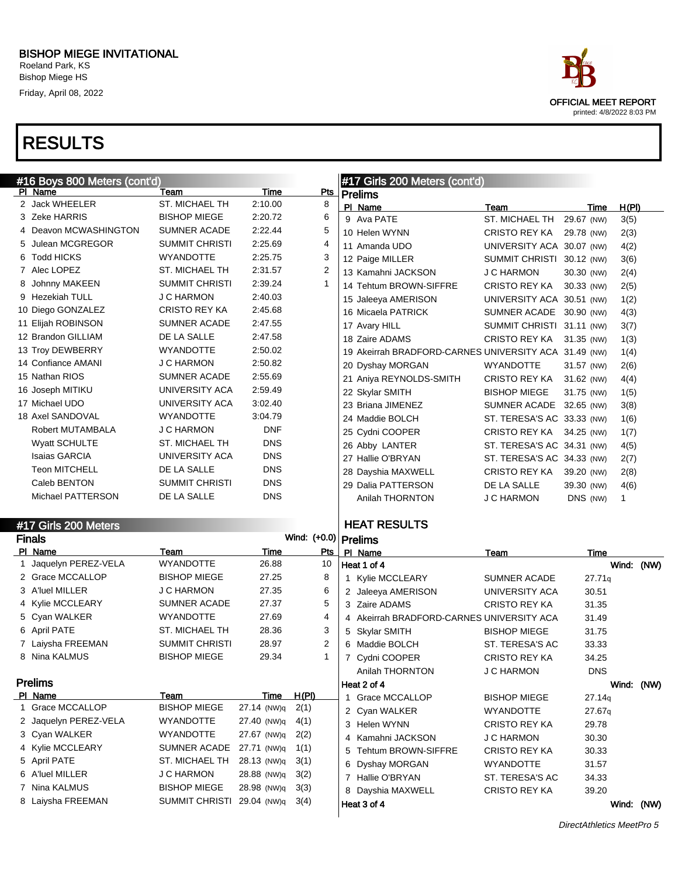Friday, April 08, 2022

# RESULTS

| #16 Boys 800 Meters (cont'd) |                       |                       |             |                        | #17 Girls 200 Meters (cont'd) |                                                       |                            |             |              |  |
|------------------------------|-----------------------|-----------------------|-------------|------------------------|-------------------------------|-------------------------------------------------------|----------------------------|-------------|--------------|--|
|                              | PI Name               | Team                  | Time        | Pts                    |                               | <b>Prelims</b>                                        |                            |             |              |  |
|                              | 2 Jack WHEELER        | <b>ST. MICHAEL TH</b> | 2:10.00     | 8                      |                               | PI Name                                               | Team                       | Time        | H(PI)        |  |
|                              | 3 Zeke HARRIS         | <b>BISHOP MIEGE</b>   | 2:20.72     | 6                      |                               | 9 Ava PATE                                            | ST. MICHAEL TH             | 29.67 (NW)  | 3(5)         |  |
|                              | 4 Deavon MCWASHINGTON | <b>SUMNER ACADE</b>   | 2:22.44     | 5                      |                               | 10 Helen WYNN                                         | <b>CRISTO REY KA</b>       | 29.78 (NW)  | 2(3)         |  |
|                              | 5 Julean MCGREGOR     | <b>SUMMIT CHRISTI</b> | 2:25.69     | 4                      |                               | 11 Amanda UDO                                         | UNIVERSITY ACA 30.07 (NW)  |             | 4(2)         |  |
|                              | 6 Todd HICKS          | <b>WYANDOTTE</b>      | 2:25.75     | 3                      |                               | 12 Paige MILLER                                       | SUMMIT CHRISTI 30.12 (NW)  |             | 3(6)         |  |
|                              | 7 Alec LOPEZ          | ST. MICHAEL TH        | 2:31.57     | $\overline{2}$         |                               | 13 Kamahni JACKSON                                    | <b>J C HARMON</b>          | 30.30 (NW)  | 2(4)         |  |
| 8                            | Johnny MAKEEN         | <b>SUMMIT CHRISTI</b> | 2:39.24     | $\mathbf{1}$           |                               | 14 Tehtum BROWN-SIFFRE                                | <b>CRISTO REY KA</b>       | 30.33 (NW)  | 2(5)         |  |
|                              | 9 Hezekiah TULL       | <b>J C HARMON</b>     | 2:40.03     |                        |                               | 15 Jaleeya AMERISON                                   | UNIVERSITY ACA 30.51 (NW)  |             | 1(2)         |  |
|                              | 10 Diego GONZALEZ     | <b>CRISTO REY KA</b>  | 2:45.68     |                        |                               | 16 Micaela PATRICK                                    | SUMNER ACADE 30.90 (NW)    |             | 4(3)         |  |
|                              | 11 Elijah ROBINSON    | SUMNER ACADE          | 2:47.55     |                        |                               | 17 Avary HILL                                         | SUMMIT CHRISTI 31.11 (NW)  |             | 3(7)         |  |
|                              | 12 Brandon GILLIAM    | DE LA SALLE           | 2:47.58     |                        |                               | 18 Zaire ADAMS                                        | <b>CRISTO REY KA</b>       | 31.35 (NW)  | 1(3)         |  |
|                              | 13 Troy DEWBERRY      | <b>WYANDOTTE</b>      | 2:50.02     |                        |                               | 19 Akeirrah BRADFORD-CARNES UNIVERSITY ACA 31.49 (NW) |                            |             | 1(4)         |  |
|                              | 14 Confiance AMANI    | <b>J C HARMON</b>     | 2:50.82     |                        |                               | 20 Dyshay MORGAN                                      | <b>WYANDOTTE</b>           | 31.57 (NW)  | 2(6)         |  |
|                              | 15 Nathan RIOS        | SUMNER ACADE          | 2:55.69     |                        |                               | 21 Aniya REYNOLDS-SMITH                               | CRISTO REY KA              | 31.62 (NW)  | 4(4)         |  |
|                              | 16 Joseph MITIKU      | UNIVERSITY ACA        | 2:59.49     |                        |                               | 22 Skylar SMITH                                       | <b>BISHOP MIEGE</b>        | 31.75 (NW)  | 1(5)         |  |
|                              | 17 Michael UDO        | UNIVERSITY ACA        | 3:02.40     |                        |                               | 23 Briana JIMENEZ                                     | SUMNER ACADE               | 32.65 (NW)  | 3(8)         |  |
|                              | 18 Axel SANDOVAL      | <b>WYANDOTTE</b>      | 3:04.79     |                        |                               | 24 Maddie BOLCH                                       | ST. TERESA'S AC 33.33 (NW) |             | 1(6)         |  |
|                              | Robert MUTAMBALA      | <b>J C HARMON</b>     | <b>DNF</b>  |                        |                               | 25 Cydni COOPER                                       | <b>CRISTO REY KA</b>       | 34.25 (NW)  | 1(7)         |  |
|                              | <b>Wyatt SCHULTE</b>  | ST. MICHAEL TH        | <b>DNS</b>  |                        |                               | 26 Abby LANTER                                        | ST. TERESA'S AC 34.31 (NW) |             | 4(5)         |  |
|                              | <b>Isaias GARCIA</b>  | UNIVERSITY ACA        | <b>DNS</b>  |                        |                               | 27 Hallie O'BRYAN                                     | ST. TERESA'S AC 34.33 (NW) |             | 2(7)         |  |
|                              | <b>Teon MITCHELL</b>  | DE LA SALLE           | <b>DNS</b>  |                        |                               | 28 Dayshia MAXWELL                                    | <b>CRISTO REY KA</b>       | 39.20 (NW)  | 2(8)         |  |
|                              | Caleb BENTON          | <b>SUMMIT CHRISTI</b> | <b>DNS</b>  |                        |                               | 29 Dalia PATTERSON                                    | DE LA SALLE                | 39.30 (NW)  | 4(6)         |  |
|                              | Michael PATTERSON     | DE LA SALLE           | <b>DNS</b>  |                        |                               | Anilah THORNTON                                       | <b>J C HARMON</b>          | DNS (NW)    | $\mathbf{1}$ |  |
|                              |                       |                       |             |                        |                               |                                                       |                            |             |              |  |
|                              | #17 Girls 200 Meters  |                       |             |                        |                               | <b>HEAT RESULTS</b>                                   |                            |             |              |  |
|                              | <b>Finals</b>         |                       |             | Wind: (+0.0)   Prelims |                               |                                                       |                            |             |              |  |
|                              | PI Name               | Team                  | <b>Time</b> | Pts                    |                               | PI Name                                               | Team                       | <b>Time</b> |              |  |
|                              | 1 Jaquelyn PEREZ-VELA | <b>WYANDOTTE</b>      | 26.88       | 10                     |                               | Heat 1 of 4                                           |                            |             | Wind: (NW)   |  |
|                              | 2 Grace MCCALLOP      | <b>BISHOP MIEGE</b>   | 27.25       | 8                      |                               | 1 Kylie MCCLEARY                                      | <b>SUMNER ACADE</b>        | 27.71q      |              |  |
|                              | 3 A'luel MILLER       | <b>J C HARMON</b>     | 27.35       | 6                      |                               | 2 Jaleeya AMERISON                                    | UNIVERSITY ACA             | 30.51       |              |  |
|                              | 4 Kylie MCCLEARY      | <b>SUMNER ACADE</b>   | 27.37       | 5                      |                               | 3 Zaire ADAMS                                         | <b>CRISTO REY KA</b>       | 31.35       |              |  |
|                              | 5 Cyan WALKER         | <b>WYANDOTTE</b>      | 27.69       | 4                      |                               | 4 Akeirrah BRADFORD-CARNES UNIVERSITY ACA             |                            | 31.49       |              |  |
|                              | 6 April PATE          | <b>ST. MICHAEL TH</b> | 28.36       | 3                      |                               | 5 Skylar SMITH                                        | <b>BISHOP MIEGE</b>        | 31.75       |              |  |
|                              | 7 Laiysha FREEMAN     | <b>SUMMIT CHRISTI</b> | 28.97       | $\overline{2}$         |                               | 6 Maddie BOLCH                                        | ST. TERESA'S AC            | 33.33       |              |  |

Prelims PI Name Team Team Team Time H(PI) 1 Grace MCCALLOP BISHOP MIEGE 27.14 (NW)q 2(1) 2 Jaquelyn PEREZ-VELA WYANDOTTE 27.40 (NW)q 4(1) 3 Cyan WALKER WYANDOTTE 27.67 (NW)q 2(2) 4 Kylie MCCLEARY SUMNER ACADE 27.71 (NW)q 1(1) 5 April PATE ST. MICHAEL TH 28.13 (NW)q 3(1)

8 Nina KALMUS BISHOP MIEGE 29.34 1

6 A'luel MILLER J C HARMON 28.88 (NW)q 3(2) 7 Nina KALMUS BISHOP MIEGE 28.98 (NW)q 3(3) 8 Laiysha FREEMAN SUMMIT CHRISTI 29.04 (NW)q 3(4)

Heat 3 of 4 Wind: (NW)

7 Cydni COOPER CRISTO REY KA 34.25 Anilah THORNTON JC HARMON DNS

1 Grace MCCALLOP BISHOP MIEGE 27.14q 2 Cyan WALKER WYANDOTTE 27.67q 3 Helen WYNN CRISTO REY KA 29.78 4 Kamahni JACKSON J C HARMON 30.30 5 Tehtum BROWN-SIFFRE CRISTO REY KA 30.33 6 Dyshay MORGAN WYANDOTTE 31.57 7 Hallie O'BRYAN ST. TERESA'S AC 34.33 8 Dayshia MAXWELL CRISTO REY KA 39.20

Heat 2 of 4 Wind: (NW)

DirectAthletics MeetPro 5

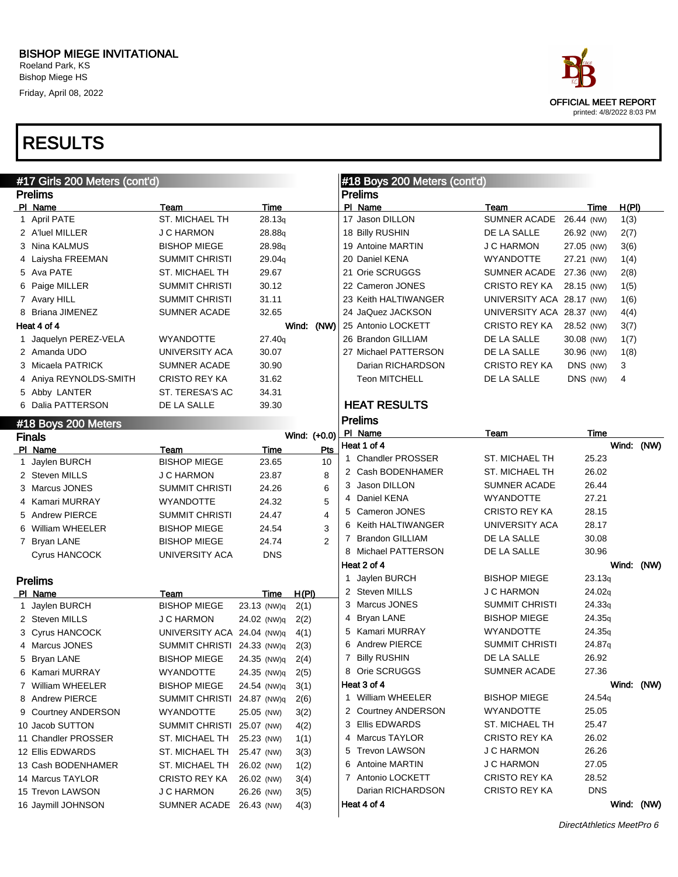Roeland Park, KS Bishop Miege HS Friday, April 08, 2022



### RESULTS

| #17 Girls 200 Meters (cont'd) |                             |                     |                | #18 Boys 200 Meters (cont'd) |                                    |                           |                    |       |            |
|-------------------------------|-----------------------------|---------------------|----------------|------------------------------|------------------------------------|---------------------------|--------------------|-------|------------|
| <b>Prelims</b>                |                             |                     |                |                              | <b>Prelims</b>                     |                           |                    |       |            |
| PI Name                       | Team                        | Time                |                |                              | PI Name                            | Team                      | Time               | H(PI) |            |
| 1 April PATE                  | ST. MICHAEL TH              | 28.13q              |                |                              | 17 Jason DILLON                    | SUMNER ACADE 26.44 (NW)   |                    | 1(3)  |            |
| 2 A'luel MILLER               | <b>J C HARMON</b>           | 28.88q              |                |                              | 18 Billy RUSHIN                    | DE LA SALLE               | 26.92 (NW)         | 2(7)  |            |
| 3 Nina KALMUS                 | <b>BISHOP MIEGE</b>         | 28.98q              |                |                              | 19 Antoine MARTIN                  | J C HARMON                | 27.05 (NW)         | 3(6)  |            |
| 4 Laiysha FREEMAN             | SUMMIT CHRISTI              | 29.04 <sub>q</sub>  |                |                              | 20 Daniel KENA                     | WYANDOTTE                 | 27.21 (NW)         | 1(4)  |            |
| 5 Ava PATE                    | ST. MICHAEL TH              | 29.67               |                |                              | 21 Orie SCRUGGS                    | SUMNER ACADE 27.36 (NW)   |                    | 2(8)  |            |
| 6 Paige MILLER                | <b>SUMMIT CHRISTI</b>       | 30.12               |                |                              | 22 Cameron JONES                   | CRISTO REY KA             | 28.15 (NW)         | 1(5)  |            |
| 7 Avary HILL                  | <b>SUMMIT CHRISTI</b>       | 31.11               |                |                              | 23 Keith HALTIWANGER               | UNIVERSITY ACA 28.17 (NW) |                    | 1(6)  |            |
| 8 Briana JIMENEZ              | <b>SUMNER ACADE</b>         | 32.65               |                |                              | 24 JaQuez JACKSON                  | UNIVERSITY ACA 28.37 (NW) |                    | 4(4)  |            |
| Heat 4 of 4                   |                             |                     | Wind: (NW)     |                              | 25 Antonio LOCKETT                 | CRISTO REY KA             | 28.52 (NW)         | 3(7)  |            |
| 1 Jaquelyn PEREZ-VELA         | <b>WYANDOTTE</b>            | 27.40g              |                |                              | 26 Brandon GILLIAM                 | DE LA SALLE               | 30.08 (NW)         | 1(7)  |            |
| 2 Amanda UDO                  | UNIVERSITY ACA              | 30.07               |                |                              | 27 Michael PATTERSON               | DE LA SALLE               | 30.96 (NW)         | 1(8)  |            |
| 3 Micaela PATRICK             | <b>SUMNER ACADE</b>         | 30.90               |                |                              | Darian RICHARDSON                  | <b>CRISTO REY KA</b>      | DNS (NW)           | 3     |            |
| 4 Aniya REYNOLDS-SMITH        | <b>CRISTO REY KA</b>        | 31.62               |                |                              | <b>Teon MITCHELL</b>               | DE LA SALLE               | DNS (NW)           | 4     |            |
| 5 Abby LANTER                 | ST. TERESA'S AC             | 34.31               |                |                              |                                    |                           |                    |       |            |
| 6 Dalia PATTERSON             | DE LA SALLE                 | 39.30               |                |                              | <b>HEAT RESULTS</b>                |                           |                    |       |            |
| #18 Boys 200 Meters           |                             |                     |                |                              | <b>Prelims</b>                     |                           |                    |       |            |
|                               |                             |                     | Wind: (+0.0)   |                              | PI Name                            | Team                      | Time               |       |            |
| <b>Finals</b><br>PI Name      | Team                        | Time                | Pts            |                              | Heat 1 of 4                        |                           |                    |       | Wind: (NW) |
| 1 Jaylen BURCH                | <b>BISHOP MIEGE</b>         | 23.65               | 10             |                              | 1 Chandler PROSSER                 | ST. MICHAEL TH            | 25.23              |       |            |
| 2 Steven MILLS                | <b>J C HARMON</b>           | 23.87               | 8              |                              | 2 Cash BODENHAMER                  | <b>ST. MICHAEL TH</b>     | 26.02              |       |            |
| 3 Marcus JONES                | <b>SUMMIT CHRISTI</b>       | 24.26               | 6              |                              | 3 Jason DILLON                     | <b>SUMNER ACADE</b>       | 26.44              |       |            |
| 4 Kamari MURRAY               | <b>WYANDOTTE</b>            | 24.32               | 5              |                              | 4 Daniel KENA                      | <b>WYANDOTTE</b>          | 27.21              |       |            |
| 5 Andrew PIERCE               | SUMMIT CHRISTI              | 24.47               | $\overline{4}$ |                              | 5 Cameron JONES                    | CRISTO REY KA             | 28.15              |       |            |
| 6 William WHEELER             | <b>BISHOP MIEGE</b>         | 24.54               | 3              |                              | 6 Keith HALTIWANGER                | UNIVERSITY ACA            | 28.17              |       |            |
|                               |                             |                     | 2              |                              | 7 Brandon GILLIAM                  | DE LA SALLE               | 30.08              |       |            |
| 7 Bryan LANE                  | <b>BISHOP MIEGE</b>         | 24.74               |                |                              | 8 Michael PATTERSON                | DE LA SALLE               | 30.96              |       |            |
| Cyrus HANCOCK                 | UNIVERSITY ACA              | <b>DNS</b>          |                |                              | Heat 2 of 4                        |                           |                    |       | Wind: (NW) |
|                               |                             |                     |                |                              | 1 Jaylen BURCH                     | <b>BISHOP MIEGE</b>       | 23.13q             |       |            |
| <b>Prelims</b><br>PI Name     |                             |                     | H(PI)          |                              | 2 Steven MILLS                     | <b>J C HARMON</b>         | 24.02 <sub>q</sub> |       |            |
| 1 Jaylen BURCH                | Team<br><b>BISHOP MIEGE</b> | Time<br>23.13 (NW)q | 2(1)           |                              | 3 Marcus JONES                     | SUMMIT CHRISTI            | 24.33q             |       |            |
| 2 Steven MILLS                | J C HARMON                  | 24.02 (NW)q         | 2(2)           |                              | 4 Bryan LANE                       | <b>BISHOP MIEGE</b>       | 24.35q             |       |            |
| 3 Cyrus HANCOCK               | UNIVERSITY ACA 24.04 (NW)q  |                     | 4(1)           |                              | 5 Kamari MURRAY                    | <b>WYANDOTTE</b>          | 24.35q             |       |            |
| 4 Marcus JONES                | SUMMIT CHRISTI 24.33 (NW)q  |                     |                |                              | 6 Andrew PIERCE                    | <b>SUMMIT CHRISTI</b>     | 24.87q             |       |            |
| 5 Bryan LANE                  | <b>BISHOP MIEGE</b>         | 24.35 (NW)q         | 2(3)           |                              | 7 Billy RUSHIN                     | DE LA SALLE               | 26.92              |       |            |
|                               |                             |                     | 2(4)           |                              | 8 Orie SCRUGGS                     | SUMNER ACADE              | 27.36              |       |            |
| 6 Kamari MURRAY               | WYANDOTTE                   | 24.35 (NW)q         | 2(5)           |                              | Heat 3 of 4                        |                           |                    |       | Wind: (NW) |
| 7 William WHEELER             | BISHOP MIEGE                | 24.54 (NW)q         | 3(1)           |                              | 1 William WHEELER                  | <b>BISHOP MIEGE</b>       | 24.54g             |       |            |
| 8 Andrew PIERCE               | SUMMIT CHRISTI 24.87 (NW)q  |                     | 2(6)           |                              | 2 Courtney ANDERSON                | WYANDOTTE                 | 25.05              |       |            |
| 9 Courtney ANDERSON           | WYANDOTTE                   | 25.05 (NW)          | 3(2)           |                              |                                    | <b>ST. MICHAEL TH</b>     |                    |       |            |
| 10 Jacob SUTTON               | SUMMIT CHRISTI 25.07 (NW)   |                     | 4(2)           |                              | 3 Ellis EDWARDS<br>4 Marcus TAYLOR |                           | 25.47              |       |            |
| 11 Chandler PROSSER           | ST. MICHAEL TH              | 25.23 (NW)          | 1(1)           |                              |                                    | CRISTO REY KA             | 26.02              |       |            |
| 12 Ellis EDWARDS              | ST. MICHAEL TH              | 25.47 (NW)          | 3(3)           |                              | 5 Trevon LAWSON                    | J C HARMON                | 26.26              |       |            |
| 13 Cash BODENHAMER            | ST. MICHAEL TH              | 26.02 (NW)          | 1(2)           |                              | 6 Antoine MARTIN                   | J C HARMON                | 27.05              |       |            |
| 14 Marcus TAYLOR              | CRISTO REY KA               | 26.02 (NW)          | 3(4)           |                              | 7 Antonio LOCKETT                  | <b>CRISTO REY KA</b>      | 28.52              |       |            |
| 15 Trevon LAWSON              | J C HARMON                  | 26.26 (NW)          | 3(5)           |                              | Darian RICHARDSON                  | CRISTO REY KA             | <b>DNS</b>         |       |            |
| 16 Jaymill JOHNSON            | SUMNER ACADE 26.43 (NW)     |                     | 4(3)           |                              | Heat 4 of 4                        |                           |                    |       | Wind: (NW) |
|                               |                             |                     |                |                              |                                    |                           |                    |       |            |

DirectAthletics MeetPro 6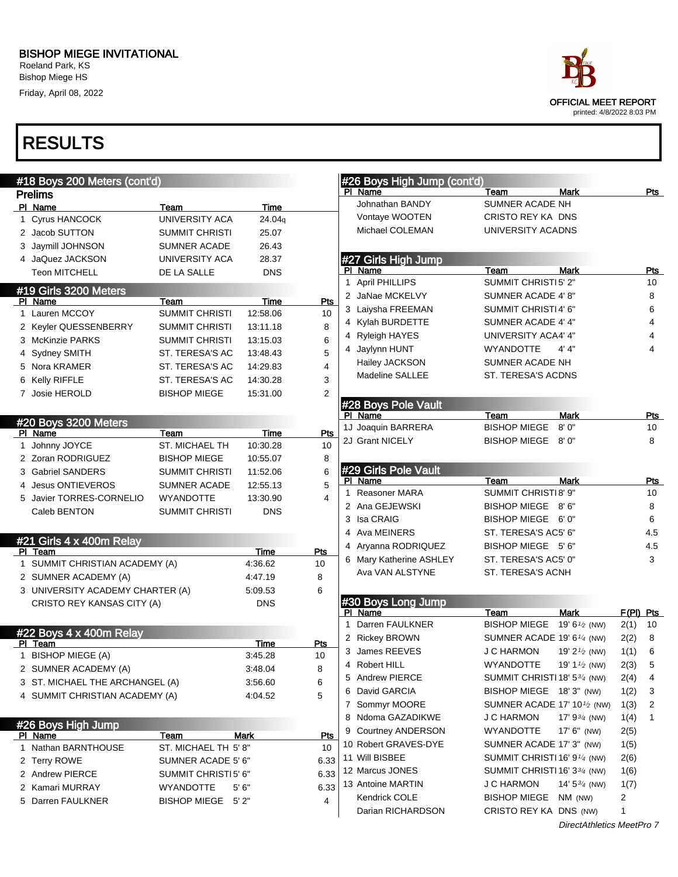Roeland Park, KS Bishop Miege HS Friday, April 08, 2022



|    | #18 Boys 200 Meters (cont'd)     |                        |             |      |              | #26 Boys High Jump (cont'd) |                                          |                           |             |            |
|----|----------------------------------|------------------------|-------------|------|--------------|-----------------------------|------------------------------------------|---------------------------|-------------|------------|
|    | <b>Prelims</b>                   |                        |             |      |              | PI Name                     | Team                                     | Mark                      |             | Pts        |
|    | PI Name                          | Team                   | Time        |      |              | Johnathan BANDY             | SUMNER ACADE NH                          |                           |             |            |
|    | 1 Cyrus HANCOCK                  | <b>UNIVERSITY ACA</b>  | 24.04g      |      |              | Vontaye WOOTEN              | CRISTO REY KA DNS                        |                           |             |            |
|    | 2 Jacob SUTTON                   | <b>SUMMIT CHRISTI</b>  | 25.07       |      |              | Michael COLEMAN             | UNIVERSITY ACADNS                        |                           |             |            |
|    | 3 Jaymill JOHNSON                | <b>SUMNER ACADE</b>    | 26.43       |      |              |                             |                                          |                           |             |            |
|    | 4 JaQuez JACKSON                 | UNIVERSITY ACA         | 28.37       |      |              | #27 Girls High Jump         |                                          |                           |             |            |
|    | <b>Teon MITCHELL</b>             | DE LA SALLE            | <b>DNS</b>  |      |              | PI Name                     | Team                                     | Mark                      |             | <b>Pts</b> |
|    | #19 Girls 3200 Meters            |                        |             |      | 1            | <b>April PHILLIPS</b>       | SUMMIT CHRISTI5' 2"                      |                           |             | 10         |
|    | PI Name                          | Team                   | Time        | Pts  |              | 2 JaNae MCKELVY             | SUMNER ACADE 4' 8"                       |                           |             | 8          |
|    | 1 Lauren MCCOY                   | <b>SUMMIT CHRISTI</b>  | 12:58.06    | 10   |              | 3 Laiysha FREEMAN           | SUMMIT CHRISTI4' 6"                      |                           |             | 6          |
|    | 2 Keyler QUESSENBERRY            | <b>SUMMIT CHRISTI</b>  | 13:11.18    | 8    |              | 4 Kylah BURDETTE            | SUMNER ACADE 4' 4"                       |                           |             | 4          |
|    | 3 McKinzie PARKS                 | <b>SUMMIT CHRISTI</b>  | 13:15.03    | 6    |              | 4 Ryleigh HAYES             | UNIVERSITY ACA4' 4"                      |                           |             | 4          |
|    | 4 Sydney SMITH                   | ST. TERESA'S AC        | 13:48.43    | 5    |              | 4 Jaylynn HUNT              | <b>WYANDOTTE</b>                         | 4' 4"                     |             | 4          |
|    | 5 Nora KRAMER                    | ST. TERESA'S AC        | 14:29.83    | 4    |              | Hailey JACKSON              | SUMNER ACADE NH                          |                           |             |            |
| 6. | <b>Kelly RIFFLE</b>              | ST. TERESA'S AC        | 14:30.28    | 3    |              | Madeline SALLEE             | ST. TERESA'S ACDNS                       |                           |             |            |
|    | 7 Josie HEROLD                   | <b>BISHOP MIEGE</b>    | 15:31.00    | 2    |              |                             |                                          |                           |             |            |
|    |                                  |                        |             |      |              | #28 Boys Pole Vault         |                                          |                           |             |            |
|    |                                  |                        |             |      |              | PI Name                     | Team                                     | Mark                      |             | Pts        |
|    | #20 Boys 3200 Meters             |                        | <b>Time</b> | Pts  |              | 1J Joaquin BARRERA          | <b>BISHOP MIEGE</b>                      | 8'0''                     |             | 10         |
|    | PI Name<br>1 Johnny JOYCE        | Team<br>ST. MICHAEL TH | 10:30.28    | 10   |              | 2J Grant NICELY             | <b>BISHOP MIEGE</b>                      | 8' 0"                     |             | 8          |
|    | 2 Zoran RODRIGUEZ                | <b>BISHOP MIEGE</b>    | 10:55.07    | 8    |              |                             |                                          |                           |             |            |
|    |                                  |                        |             |      |              | #29 Girls Pole Vault        |                                          |                           |             |            |
|    | 3 Gabriel SANDERS                | <b>SUMMIT CHRISTI</b>  | 11:52.06    | 6    |              | PI Name                     | Team                                     | <b>Mark</b>               |             | <u>Pts</u> |
|    | <b>Jesus ONTIEVEROS</b>          | <b>SUMNER ACADE</b>    | 12:55.13    | 5    | 1            | <b>Reasoner MARA</b>        | SUMMIT CHRISTI8' 9"                      |                           |             | 10         |
|    | 5 Javier TORRES-CORNELIO         | <b>WYANDOTTE</b>       | 13:30.90    | 4    |              | 2 Ana GEJEWSKI              | BISHOP MIEGE                             | 8' 6"                     |             | 8          |
|    | Caleb BENTON                     | <b>SUMMIT CHRISTI</b>  | <b>DNS</b>  |      |              | 3 Isa CRAIG                 | BISHOP MIEGE 6'0"                        |                           |             | 6          |
|    |                                  |                        |             |      |              | 4 Ava MEINERS               | ST. TERESA'S AC5' 6"                     |                           |             | 4.5        |
|    | #21 Girls 4 x 400m Relay         |                        |             |      |              | 4 Aryanna RODRIQUEZ         | BISHOP MIEGE 5'6"                        |                           |             | 4.5        |
|    | PI Team                          |                        | Time        | Pts  |              | 6 Mary Katherine ASHLEY     | ST. TERESA'S AC5' 0"                     |                           |             | 3          |
|    | 1 SUMMIT CHRISTIAN ACADEMY (A)   |                        | 4:36.62     | 10   |              | Ava VAN ALSTYNE             | ST. TERESA'S ACNH                        |                           |             |            |
|    | 2 SUMNER ACADEMY (A)             |                        | 4.47.19     | 8    |              |                             |                                          |                           |             |            |
|    | 3 UNIVERSITY ACADEMY CHARTER (A) |                        | 5.09.53     | 6    |              |                             |                                          |                           |             |            |
|    | CRISTO REY KANSAS CITY (A)       |                        | <b>DNS</b>  |      |              | #30 Boys Long Jump          |                                          |                           |             |            |
|    |                                  |                        |             |      | $\mathbf{1}$ | PI Name<br>Darren FAULKNER  | Team<br><b>BISHOP MIEGE</b>              | <b>Mark</b>               | $F(PI)$ Pts |            |
|    | #22 Boys 4 x 400m Relay          |                        |             |      |              |                             | SUMNER ACADE 19' 6 <sup>1/4</sup> (NW)   | 19' 6 $\frac{1}{2}$ (NW)  | 2(1)        | 10<br>8    |
|    | PI Team                          |                        | Time        | Pts  |              | 2 Rickey BROWN              | <b>J C HARMON</b>                        | 19' $2\frac{1}{2}$ (NW)   | 2(2)        |            |
|    | 1 BISHOP MIEGE (A)               |                        | 3:45.28     | 10   |              | 3 James REEVES              |                                          |                           | 1(1)        | 6          |
|    | 2 SUMNER ACADEMY (A)             |                        | 3:48.04     | 8    |              | 4 Robert HILL               | WYANDOTTE                                | 19' 1 $\frac{1}{2}$ (NW)  | 2(3)        | 5          |
|    | 3 ST. MICHAEL THE ARCHANGEL (A)  |                        | 3:56.60     | 6    |              | 5 Andrew PIERCE             | SUMMIT CHRISTI 18' 534 (NW)              |                           | 2(4)        | 4          |
|    | 4 SUMMIT CHRISTIAN ACADEMY (A)   |                        | 4:04.52     | 5    |              | 6 David GARCIA              | BISHOP MIEGE 18'3" (NW)                  |                           | 1(2)        | 3          |
|    |                                  |                        |             |      |              | 7 Sommyr MOORE              | SUMNER ACADE 17' 10 $\frac{1}{2}$ (NW)   |                           | 1(3)        | 2          |
|    | #26 Boys High Jump               |                        |             |      |              | 8 Ndoma GAZADIKWE           | <b>J C HARMON</b>                        | 17' $9\frac{3}{4}$ (NW)   | 1(4)        | 1          |
|    | PI Name                          | Team                   | Mark        | Pts  |              | 9 Courtney ANDERSON         | WYANDOTTE                                | 17' 6" (NW)               | 2(5)        |            |
|    | 1 Nathan BARNTHOUSE              | ST. MICHAEL TH 5'8"    |             | 10   |              | 10 Robert GRAVES-DYE        | SUMNER ACADE 17' 3" (NW)                 |                           | 1(5)        |            |
|    | 2 Terry ROWE                     | SUMNER ACADE 5' 6"     |             | 6.33 |              | 11 Will BISBEE              | SUMMIT CHRISTI 16' 9 <sup>1/4</sup> (NW) |                           | 2(6)        |            |
|    | 2 Andrew PIERCE                  | SUMMIT CHRISTI5' 6"    |             | 6.33 |              | 12 Marcus JONES             | SUMMIT CHRISTI 16' 33/4 (NW)             |                           | 1(6)        |            |
|    | 2 Kamari MURRAY                  | <b>WYANDOTTE</b>       | 5'6''       | 6.33 |              | 13 Antoine MARTIN           | <b>J C HARMON</b>                        | 14' $5\frac{3}{4}$ (NW)   | 1(7)        |            |
|    | 5 Darren FAULKNER                | BISHOP MIEGE 5'2"      |             | 4    |              | Kendrick COLE               | <b>BISHOP MIEGE</b>                      | NM (NW)                   | 2           |            |
|    |                                  |                        |             |      |              | Darian RICHARDSON           | CRISTO REY KA DNS (NW)                   |                           | 1           |            |
|    |                                  |                        |             |      |              |                             |                                          | DirectAthletics MeetPro 7 |             |            |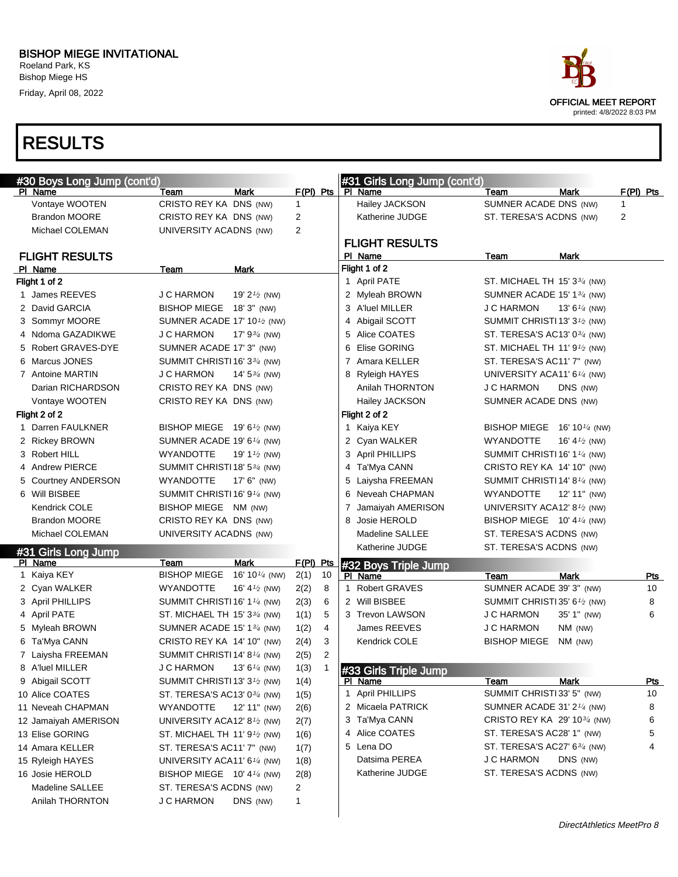Roeland Park, KS Bishop Miege HS Friday, April 08, 2022



| #30 Boys Long Jump (cont'd) |                                                       |                           |                |   | #31 Girls Long Jump (cont'd)           |                                                                    |                          |             |
|-----------------------------|-------------------------------------------------------|---------------------------|----------------|---|----------------------------------------|--------------------------------------------------------------------|--------------------------|-------------|
| PI Name                     | Team                                                  | <b>Mark</b>               | $F(PI)$ Pts    |   | PI Name                                | Team                                                               | <b>Mark</b>              | $F(PI)$ Pts |
| Vontaye WOOTEN              | CRISTO REY KA DNS (NW)                                |                           | $\mathbf{1}$   |   | Hailey JACKSON                         | SUMNER ACADE DNS (NW)                                              |                          | 1           |
| <b>Brandon MOORE</b>        | CRISTO REY KA DNS (NW)                                |                           | 2              |   | Katherine JUDGE                        | ST. TERESA'S ACDNS (NW)                                            |                          | 2           |
| Michael COLEMAN             | <b>UNIVERSITY ACADNS (NW)</b>                         |                           | 2              |   |                                        |                                                                    |                          |             |
| <b>FLIGHT RESULTS</b>       |                                                       |                           |                |   | <b>FLIGHT RESULTS</b><br>PI Name       | Team                                                               | <b>Mark</b>              |             |
| PI Name                     | Team                                                  | Mark                      |                |   | Flight 1 of 2                          |                                                                    |                          |             |
| Flight 1 of 2               |                                                       |                           |                |   | 1 April PATE                           | ST. MICHAEL TH $15'3\frac{3}{4}$ (NW)                              |                          |             |
| 1 James REEVES              | J C HARMON                                            | 19' $2\frac{1}{2}$ (NW)   |                |   | 2 Myleah BROWN                         | SUMNER ACADE 15' 13/4 (NW)                                         |                          |             |
| 2 David GARCIA              | BISHOP MIEGE 18' 3" (NW)                              |                           |                |   | 3 A'luel MILLER                        | J C HARMON                                                         | 13' 6 $\frac{1}{4}$ (NW) |             |
| 3 Sommyr MOORE              | SUMNER ACADE 17' 10 <sup>1</sup> / <sub>2</sub> (NW)  |                           |                |   | 4 Abigail SCOTT                        | SUMMIT CHRISTI 13' $3\frac{1}{2}$ (NW)                             |                          |             |
| 4 Ndoma GAZADIKWE           | <b>J C HARMON</b>                                     | 17' $9^{3/4}$ (NW)        |                |   | 5 Alice COATES                         | ST. TERESA'S AC13' 0 <sup>3/4</sup> (NW)                           |                          |             |
| 5 Robert GRAVES-DYE         | SUMNER ACADE 17' 3" (NW)                              |                           |                |   | Elise GORING<br>6                      | ST. MICHAEL TH $11'9\frac{1}{2}$ (NW)                              |                          |             |
| 6 Marcus JONES              | SUMMIT CHRISTI 16' 33/4 (NW)                          |                           |                |   | 7 Amara KELLER                         | ST. TERESA'S AC11' 7" (NW)                                         |                          |             |
| 7 Antoine MARTIN            | J C HARMON                                            | 14' $5\frac{3}{4}$ (NW)   |                |   | 8 Ryleigh HAYES                        | UNIVERSITY ACA11' 6 <sup>1/4</sup> (NW)                            |                          |             |
| Darian RICHARDSON           | CRISTO REY KA DNS (NW)                                |                           |                |   | Anilah THORNTON                        | <b>J C HARMON</b>                                                  | DNS (NW)                 |             |
| Vontaye WOOTEN              | CRISTO REY KA DNS (NW)                                |                           |                |   | Hailey JACKSON                         | SUMNER ACADE DNS (NW)                                              |                          |             |
| Flight 2 of 2               |                                                       |                           |                |   | Flight 2 of 2                          |                                                                    |                          |             |
| 1 Darren FAULKNER           | BISHOP MIEGE 19' 6 <sup>1</sup> /2 (NW)               |                           |                |   | 1 Kaiya KEY                            | BISHOP MIEGE 16' 101/4 (NW)                                        |                          |             |
| 2 Rickey BROWN              | SUMNER ACADE 19' 6 $\frac{1}{4}$ (NW)                 |                           |                |   | 2 Cyan WALKER                          | <b>WYANDOTTE</b>                                                   | 16' 4 $\frac{1}{2}$ (NW) |             |
| 3 Robert HILL               | <b>WYANDOTTE</b>                                      | 19' 1 $\frac{1}{2}$ (NW)  |                |   | 3 April PHILLIPS                       | SUMMIT CHRISTI 16' 1 $\frac{1}{4}$ (NW)                            |                          |             |
| 4 Andrew PIERCE             | SUMMIT CHRISTI 18' 53/4 (NW)                          |                           |                |   | 4 Ta'Mya CANN                          | CRISTO REY KA 14' 10" (NW)                                         |                          |             |
| 5 Courtney ANDERSON         | WYANDOTTE                                             | $17'$ 6" (NW)             |                |   | Laiysha FREEMAN<br>5                   | SUMMIT CHRISTI 14' 81⁄4 (NW)                                       |                          |             |
| 6 Will BISBEE               | SUMMIT CHRISTI 16' 9 <sup>1/4</sup> (NW)              |                           |                |   | Neveah CHAPMAN<br>6                    |                                                                    |                          |             |
| Kendrick COLE               |                                                       |                           |                |   | $\overline{7}$                         | WYANDOTTE                                                          | 12' 11" (NW)             |             |
| <b>Brandon MOORE</b>        | BISHOP MIEGE NM (NW)<br>CRISTO REY KA DNS (NW)        |                           |                |   | Jamaiyah AMERISON<br>Josie HEROLD<br>8 | UNIVERSITY ACA12' 8 $\frac{1}{2}$ (NW)                             |                          |             |
| Michael COLEMAN             |                                                       |                           |                |   | <b>Madeline SALLEE</b>                 | BISHOP MIEGE $10'$ 4 $\frac{1}{4}$ (NW)<br>ST. TERESA'S ACDNS (NW) |                          |             |
|                             | <b>UNIVERSITY ACADNS (NW)</b>                         |                           |                |   | Katherine JUDGE                        | ST. TERESA'S ACDNS (NW)                                            |                          |             |
| #31 Girls Long Jump         |                                                       |                           |                |   |                                        |                                                                    |                          |             |
| PI Name                     | Team                                                  | <b>Mark</b>               | F(PI) Pts      |   | #32 Boys Triple Jump                   |                                                                    |                          |             |
| 1 Kaiya KEY                 | <b>BISHOP MIEGE</b>                                   | 16' 10 $\frac{1}{4}$ (NW) | 10<br>2(1)     |   | PI Name                                | Team                                                               | <b>Mark</b>              | Pts         |
| 2 Cyan WALKER               | WYANDOTTE                                             | 16' 4 $\frac{1}{2}$ (NW)  | 8<br>2(2)      |   | 1 Robert GRAVES                        | SUMNER ACADE 39' 3" (NW)                                           |                          | 10          |
| 3 April PHILLIPS            | SUMMIT CHRISTI 16' 1 <sup>1/4</sup> (NW)              |                           | 2(3)<br>6      |   | 2 Will BISBEE                          | SUMMIT CHRISTI 35' 6 <sup>1</sup> /2 (NW)                          |                          | 8           |
| 4 April PATE                | ST. MICHAEL TH $15'3\frac{3}{4}$ (NW)                 |                           | 1(1)<br>5      |   | 3 Trevon LAWSON                        | <b>J C HARMON</b>                                                  | 35' 1" (NW)              | 6           |
| 5 Myleah BROWN              | SUMNER ACADE 15' 1 <sup>3/4</sup> (NW)                |                           | 1(2)           | 4 | James REEVES                           | <b>J C HARMON</b>                                                  | NM (NW)                  |             |
| 6 Ta'Mya CANN               | CRISTO REY KA 14' 10" (NW)                            |                           | 2(4)           | 3 | Kendrick COLE                          | <b>BISHOP MIEGE</b>                                                | $NM$ (NW)                |             |
| 7 Laiysha FREEMAN           | SUMMIT CHRISTI 14' 8 <sup>1/4</sup> (NW)              |                           | 2(5)           | 2 |                                        |                                                                    |                          |             |
| 8 A'luel MILLER             | J C HARMON                                            | 13' $6^{1/4}$ (NW)        | 1(3)<br>-1     |   | #33 Girls Triple Jump                  |                                                                    |                          |             |
| 9 Abigail SCOTT             | SUMMIT CHRISTI 13' 3 <sup>1</sup> / <sub>2</sub> (NW) |                           | 1(4)           |   | PI Name                                | Team                                                               | Mark                     | <u>Pts</u>  |
| 10 Alice COATES             | ST. TERESA'S AC13' 0 <sup>3/4</sup> (NW)              |                           | 1(5)           |   | 1 April PHILLIPS                       | SUMMIT CHRISTI 33' 5" (NW)                                         |                          | 10          |
| 11 Neveah CHAPMAN           | WYANDOTTE                                             | 12' 11" (NW)              | 2(6)           |   | 2 Micaela PATRICK                      | SUMNER ACADE 31' $2\frac{1}{4}$ (NW)                               |                          | 8           |
| 12 Jamaiyah AMERISON        | UNIVERSITY ACA12' 8 <sup>1/2</sup> (NW)               |                           | 2(7)           |   | 3 Ta'Mya CANN                          | CRISTO REY KA 29' 10 <sup>3/4</sup> (NW)                           |                          | 6           |
| 13 Elise GORING             | ST. MICHAEL TH 11' $91$ / <sub>2</sub> (NW)           |                           | 1(6)           |   | 4 Alice COATES                         | ST. TERESA'S AC28' 1" (NW)                                         |                          | 5           |
| 14 Amara KELLER             | ST. TERESA'S AC11' 7" (NW)                            |                           | 1(7)           |   | 5 Lena DO                              | ST. TERESA'S AC27' 634 (NW)                                        |                          | 4           |
| 15 Ryleigh HAYES            | UNIVERSITY ACA11' 6 <sup>1/4</sup> (NW)               |                           | 1(8)           |   | Datsima PEREA                          | J C HARMON                                                         | DNS (NW)                 |             |
| 16 Josie HEROLD             | BISHOP MIEGE 10' 41/4 (NW)                            |                           | 2(8)           |   | Katherine JUDGE                        | ST. TERESA'S ACDNS (NW)                                            |                          |             |
| Madeline SALLEE             | ST. TERESA'S ACDNS (NW)                               |                           | $\overline{2}$ |   |                                        |                                                                    |                          |             |
| Anilah THORNTON             | J C HARMON                                            | DNS (NW)                  | $\mathbf{1}$   |   |                                        |                                                                    |                          |             |
|                             |                                                       |                           |                |   |                                        |                                                                    |                          |             |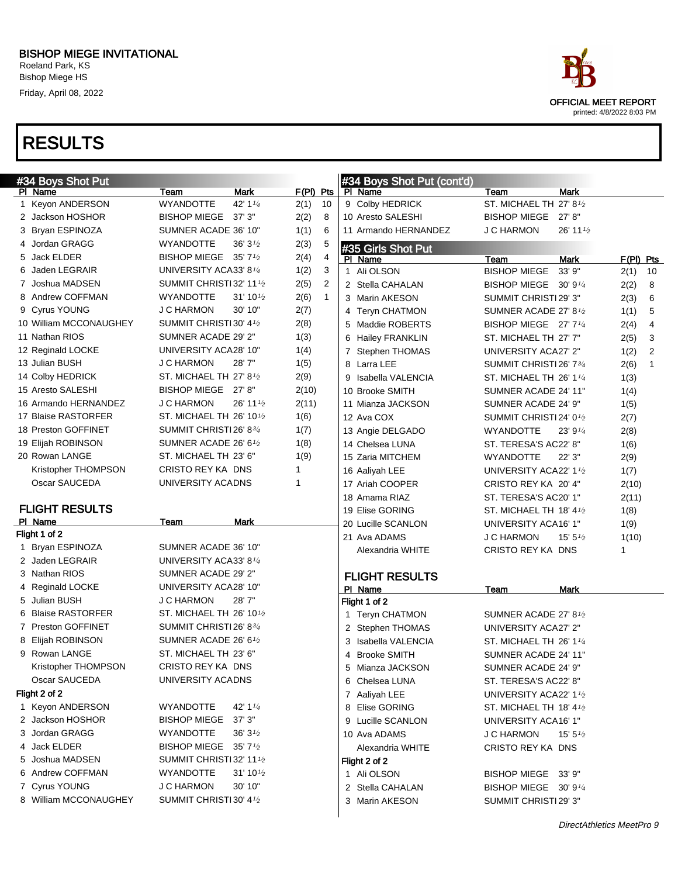Friday, April 08, 2022



| #34 Boys Shot Put      |                                            |                        | #34 Boys Shot Put (cont'd) |                                      |                                    |                      |
|------------------------|--------------------------------------------|------------------------|----------------------------|--------------------------------------|------------------------------------|----------------------|
| PI Name                | Mark<br>Team                               | $F(PI)$ Pts            | PI Name                    | Team                                 | <b>Mark</b>                        |                      |
| 1 Keyon ANDERSON       | 42' 1 $\frac{1}{4}$<br><b>WYANDOTTE</b>    | 2(1)<br>10             | 9 Colby HEDRICK            | ST. MICHAEL TH 27' 8 <sup>1</sup> /2 |                                    |                      |
| 2 Jackson HOSHOR       | <b>BISHOP MIEGE</b><br>37'3''              | 2(2)<br>8              | 10 Aresto SALESHI          | BISHOP MIEGE 27' 8"                  |                                    |                      |
| 3 Bryan ESPINOZA       | SUMNER ACADE 36' 10"                       | 1(1)<br>6              | 11 Armando HERNANDEZ       | <b>J C HARMON</b>                    | 26' 11 <sup>1</sup> / <sub>2</sub> |                      |
| 4 Jordan GRAGG         | 36' $3\frac{1}{2}$<br>WYANDOTTE            | 2(3)<br>5              | #35 Girls Shot Put         |                                      |                                    |                      |
| 5 Jack ELDER           | <b>BISHOP MIEGE</b><br>35'7'' <sub>2</sub> | 2(4)<br>4              | PI Name                    | Team                                 | <b>Mark</b>                        | $F(PI)$ Pts          |
| Jaden LEGRAIR<br>6     | UNIVERSITY ACA33' 81/4                     | 1(2)<br>3              | 1 Ali OLSON                | <b>BISHOP MIEGE</b>                  | 33' 9"                             | 2(1)<br>10           |
| 7 Joshua MADSEN        | SUMMIT CHRISTI32' 11 <sup>1</sup> /2       | $\overline{c}$<br>2(5) | 2 Stella CAHALAN           | BISHOP MIEGE 30' 91/4                |                                    | 2(2)<br>8            |
| 8 Andrew COFFMAN       | <b>WYANDOTTE</b><br>$31'10\frac{1}{2}$     | 2(6)<br>$\mathbf{1}$   | 3 Marin AKESON             | SUMMIT CHRISTI29' 3"                 |                                    | 2(3)<br>6            |
| 9 Cyrus YOUNG          | 30' 10"<br><b>J C HARMON</b>               | 2(7)                   | 4 Teryn CHATMON            | SUMNER ACADE 27' 8 <sup>1</sup> /2   |                                    | 5<br>1(1)            |
| 10 William MCCONAUGHEY | SUMMIT CHRISTI 30' 4 <sup>1</sup> /2       | 2(8)                   | 5 Maddie ROBERTS           | BISHOP MIEGE 27' 71/4                |                                    | 4<br>2(4)            |
| 11 Nathan RIOS         | SUMNER ACADE 29' 2"                        | 1(3)                   | 6 Hailey FRANKLIN          | ST. MICHAEL TH 27' 7"                |                                    | 2(5)<br>3            |
| 12 Reginald LOCKE      | UNIVERSITY ACA28' 10"                      | 1(4)                   | 7 Stephen THOMAS           | UNIVERSITY ACA27' 2"                 |                                    | 2<br>1(2)            |
| 13 Julian BUSH         | <b>J C HARMON</b><br>28'7"                 | 1(5)                   | 8 Larra LEE                | SUMMIT CHRISTI 26' 734               |                                    | 2(6)<br>$\mathbf{1}$ |
| 14 Colby HEDRICK       | ST. MICHAEL TH 27' $8\frac{1}{2}$          | 2(9)                   | 9 Isabella VALENCIA        | ST. MICHAEL TH 26' 11/4              |                                    | 1(3)                 |
| 15 Aresto SALESHI      | BISHOP MIEGE 27' 8"                        | 2(10)                  | 10 Brooke SMITH            | SUMNER ACADE 24' 11"                 |                                    | 1(4)                 |
| 16 Armando HERNANDEZ   | <b>J C HARMON</b><br>26' 11 1/2            | 2(11)                  | 11 Mianza JACKSON          | SUMNER ACADE 24' 9"                  |                                    | 1(5)                 |
| 17 Blaise RASTORFER    | ST. MICHAEL TH 26' 10 <sup>1</sup> /2      | 1(6)                   | 12 Ava COX                 | SUMMIT CHRISTI 24' 0 <sup>1</sup> /2 |                                    | 2(7)                 |
| 18 Preston GOFFINET    | SUMMIT CHRISTI26' 83/4                     | 1(7)                   | 13 Angie DELGADO           | <b>WYANDOTTE</b>                     | 23'9''                             | 2(8)                 |
| 19 Elijah ROBINSON     | SUMNER ACADE 26' 61/2                      | 1(8)                   | 14 Chelsea LUNA            | ST. TERESA'S AC22' 8"                |                                    | 1(6)                 |
| 20 Rowan LANGE         | ST. MICHAEL TH 23' 6"                      | 1(9)                   | 15 Zaria MITCHEM           | <b>WYANDOTTE</b>                     | 22'3''                             | 2(9)                 |
| Kristopher THOMPSON    | CRISTO REY KA DNS                          | $\mathbf{1}$           | 16 Aaliyah LEE             | UNIVERSITY ACA22' 11/2               |                                    | 1(7)                 |
| Oscar SAUCEDA          | UNIVERSITY ACADNS                          | 1                      | 17 Ariah COOPER            | CRISTO REY KA 20' 4"                 |                                    | 2(10)                |
|                        |                                            |                        | 18 Amama RIAZ              | ST. TERESA'S AC20' 1"                |                                    | 2(11)                |
| <b>FLIGHT RESULTS</b>  |                                            |                        | 19 Elise GORING            | ST. MICHAEL TH 18' 41/2              |                                    | 1(8)                 |
| PI Name                | Mark<br>Team                               |                        | 20 Lucille SCANLON         | UNIVERSITY ACA16' 1"                 |                                    | 1(9)                 |
| Flight 1 of 2          |                                            |                        | 21 Ava ADAMS               | <b>J C HARMON</b>                    | $15' 5\frac{1}{2}$                 | 1(10)                |
| 1 Bryan ESPINOZA       | SUMNER ACADE 36' 10"                       |                        | Alexandria WHITE           | CRISTO REY KA DNS                    |                                    | 1                    |
| 2 Jaden LEGRAIR        | UNIVERSITY ACA33' 81/4                     |                        |                            |                                      |                                    |                      |
| 3 Nathan RIOS          | SUMNER ACADE 29' 2"                        |                        | <b>FLIGHT RESULTS</b>      |                                      |                                    |                      |
| 4 Reginald LOCKE       | UNIVERSITY ACA28' 10"                      |                        | PI_Name                    | Team                                 | Mark                               |                      |
| 5 Julian BUSH          | <b>J C HARMON</b><br>28'7"                 |                        | Flight 1 of 2              |                                      |                                    |                      |
| 6 Blaise RASTORFER     | ST. MICHAEL TH 26' 10 <sup>1</sup> /2      |                        | 1 Teryn CHATMON            | SUMNER ACADE 27' 81/2                |                                    |                      |
| 7 Preston GOFFINET     | SUMMIT CHRISTI26' 834                      |                        | 2 Stephen THOMAS           | UNIVERSITY ACA27' 2"                 |                                    |                      |
| 8 Elijah ROBINSON      | SUMNER ACADE 26' 61/2                      |                        | 3 Isabella VALENCIA        | ST. MICHAEL TH 26' 11/4              |                                    |                      |
| 9 Rowan LANGE          | ST. MICHAEL TH 23' 6"                      |                        | 4 Brooke SMITH             | SUMNER ACADE 24' 11"                 |                                    |                      |
| Kristopher THOMPSON    | CRISTO REY KA DNS                          |                        | 5 Mianza JACKSON           | SUMNER ACADE 24' 9"                  |                                    |                      |
| Oscar SAUCEDA          | UNIVERSITY ACADNS                          |                        | 6 Chelsea LUNA             | ST. TERESA'S AC22' 8"                |                                    |                      |
| Flight 2 of 2          |                                            |                        | 7 Aaliyah LEE              | UNIVERSITY ACA22' 11/2               |                                    |                      |
| 1 Keyon ANDERSON       | <b>WYANDOTTE</b><br>42' $1\frac{1}{4}$     |                        | 8 Elise GORING             | ST. MICHAEL TH $18'$ 4 $\frac{1}{2}$ |                                    |                      |
| 2 Jackson HOSHOR       | BISHOP MIEGE 37' 3"                        |                        | 9 Lucille SCANLON          | UNIVERSITY ACA16' 1"                 |                                    |                      |
| 3 Jordan GRAGG         | <b>WYANDOTTE</b><br>$36'3\frac{1}{2}$      |                        | 10 Ava ADAMS               | <b>J C HARMON</b>                    | 15' 5 $\frac{1}{2}$                |                      |
| 4 Jack ELDER           | BISHOP MIEGE 35' 7 <sup>1</sup> /2         |                        | Alexandria WHITE           | CRISTO REY KA DNS                    |                                    |                      |
| 5 Joshua MADSEN        | SUMMIT CHRISTI32' 11 <sup>1</sup> /2       |                        | Flight 2 of 2              |                                      |                                    |                      |
| 6 Andrew COFFMAN       | <b>WYANDOTTE</b><br>$31'10\frac{1}{2}$     |                        | 1 Ali OLSON                | BISHOP MIEGE 33' 9"                  |                                    |                      |
| 7 Cyrus YOUNG          | <b>J C HARMON</b><br>30' 10"               |                        | 2 Stella CAHALAN           | BISHOP MIEGE 30' 91/4                |                                    |                      |
| 8 William MCCONAUGHEY  | SUMMIT CHRISTI30' 41/2                     |                        | 3 Marin AKESON             | SUMMIT CHRISTI 29' 3"                |                                    |                      |
|                        |                                            |                        |                            |                                      |                                    |                      |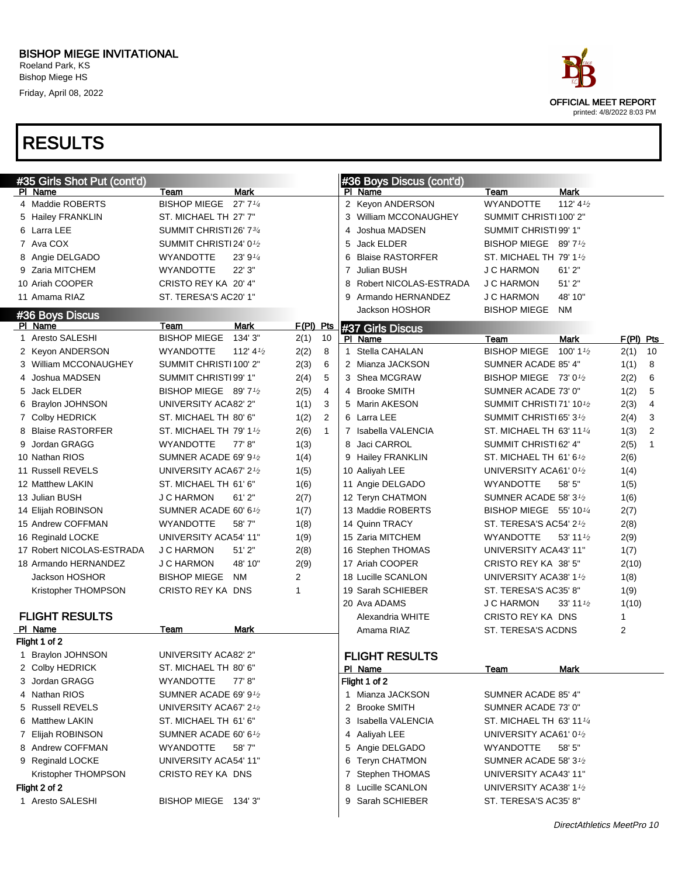Bishop Miege HS Friday, April 08, 2022



| #35 Girls Shot Put (cont'd) |                                     |                      |              |                |                | #36 Boys Discus (cont'd) |                                                  |                      |             |                |
|-----------------------------|-------------------------------------|----------------------|--------------|----------------|----------------|--------------------------|--------------------------------------------------|----------------------|-------------|----------------|
| PI Name                     | Team                                | <b>Mark</b>          |              |                |                | PI Name                  | Team                                             | <b>Mark</b>          |             |                |
| 4 Maddie ROBERTS            | BISHOP MIEGE 27' 71/4               |                      |              |                |                | 2 Keyon ANDERSON         | <b>WYANDOTTE</b>                                 | 112' $4\frac{1}{2}$  |             |                |
| 5 Hailey FRANKLIN           | ST. MICHAEL TH 27' 7"               |                      |              |                |                | 3 William MCCONAUGHEY    | SUMMIT CHRISTI 100' 2"                           |                      |             |                |
| 6 Larra LEE                 | SUMMIT CHRISTI26' 73/4              |                      |              |                | 4              | Joshua MADSEN            | SUMMIT CHRISTI 99' 1"                            |                      |             |                |
| 7 Ava COX                   | SUMMIT CHRISTI24' 0 <sup>1</sup> /2 |                      |              |                | 5              | Jack ELDER               | BISHOP MIEGE 89' 7 <sup>1</sup> /2               |                      |             |                |
| 8 Angie DELGADO             | WYANDOTTE                           | 23' 91/4             |              |                | 6              | <b>Blaise RASTORFER</b>  | ST. MICHAEL TH 79' 1 <sup>1</sup> / <sub>2</sub> |                      |             |                |
| 9 Zaria MITCHEM             | <b>WYANDOTTE</b>                    | 22' 3"               |              |                | $\overline{7}$ | Julian BUSH              | <b>J C HARMON</b>                                | 61'2"                |             |                |
| 10 Ariah COOPER             | CRISTO REY KA 20' 4"                |                      |              |                | 8              | Robert NICOLAS-ESTRADA   | <b>J C HARMON</b>                                | 51'2"                |             |                |
| 11 Amama RIAZ               | ST. TERESA'S AC20' 1"               |                      |              |                | 9              | Armando HERNANDEZ        | <b>J C HARMON</b>                                | 48' 10"              |             |                |
| #36 Boys Discus             |                                     |                      |              |                |                | Jackson HOSHOR           | <b>BISHOP MIEGE</b>                              | <b>NM</b>            |             |                |
| PI Name                     | Team                                | <b>Mark</b>          | $F(PI)$ Pts  |                |                | #37 Girls Discus         |                                                  |                      |             |                |
| 1 Aresto SALESHI            | <b>BISHOP MIEGE</b>                 | 134' 3"              | 2(1)         | 10             |                | PI Name                  | Team                                             | Mark                 | $F(PI)$ Pts |                |
| 2 Keyon ANDERSON            | <b>WYANDOTTE</b>                    | 112' 4 $\frac{1}{2}$ | 2(2)         | 8              |                | 1 Stella CAHALAN         | <b>BISHOP MIEGE</b>                              | 100' 1 $\frac{1}{2}$ | 2(1)        | 10             |
| 3 William MCCONAUGHEY       | SUMMIT CHRISTI 100' 2"              |                      | 2(3)         | 6              |                | 2 Mianza JACKSON         | SUMNER ACADE 85' 4"                              |                      | 1(1)        | 8              |
| 4 Joshua MADSEN             | SUMMIT CHRISTI 99' 1"               |                      | 2(4)         | 5              |                | 3 Shea MCGRAW            | BISHOP MIEGE 73' 01/2                            |                      | 2(2)        | 6              |
| 5 Jack ELDER                | BISHOP MIEGE 89' 71/2               |                      | 2(5)         | $\overline{4}$ |                | 4 Brooke SMITH           | SUMNER ACADE 73' 0"                              |                      | 1(2)        | 5              |
| 6 Braylon JOHNSON           | <b>UNIVERSITY ACA82' 2"</b>         |                      | 1(1)         | 3              |                | 5 Marin AKESON           | SUMMIT CHRISTI 71' 10 <sup>1</sup> /2            |                      | 2(3)        | $\overline{4}$ |
| 7 Colby HEDRICK             | ST. MICHAEL TH 80' 6"               |                      | 1(2)         | $\overline{2}$ |                | 6 Larra LEE              | SUMMIT CHRISTI 65' 3 <sup>1</sup> /2             |                      | 2(4)        | 3              |
| 8 Blaise RASTORFER          | ST. MICHAEL TH 79' 11/2             |                      | 2(6)         | $\mathbf{1}$   |                | 7 Isabella VALENCIA      | ST. MICHAEL TH 63' 111/4                         |                      | 1(3)        | $\overline{2}$ |
| 9 Jordan GRAGG              | WYANDOTTE                           | 77'8"                | 1(3)         |                |                | 8 Jaci CARROL            | SUMMIT CHRISTI 62' 4"                            |                      | 2(5)        | $\mathbf{1}$   |
| 10 Nathan RIOS              | SUMNER ACADE 69' 91/2               |                      | 1(4)         |                |                | 9 Hailey FRANKLIN        | ST. MICHAEL TH 61' 6 <sup>1</sup> / <sub>2</sub> |                      | 2(6)        |                |
| 11 Russell REVELS           | UNIVERSITY ACA67' 21/2              |                      | 1(5)         |                |                | 10 Aaliyah LEE           | UNIVERSITY ACA61' 01/2                           |                      | 1(4)        |                |
| 12 Matthew LAKIN            | ST. MICHAEL TH 61' 6"               |                      | 1(6)         |                |                | 11 Angie DELGADO         | <b>WYANDOTTE</b>                                 | 58' 5"               | 1(5)        |                |
| 13 Julian BUSH              | <b>J C HARMON</b>                   | 61'2"                | 2(7)         |                |                | 12 Teryn CHATMON         | SUMNER ACADE 58' 31/2                            |                      | 1(6)        |                |
| 14 Elijah ROBINSON          | SUMNER ACADE 60' 61/2               |                      | 1(7)         |                |                | 13 Maddie ROBERTS        | BISHOP MIEGE 55' 101/4                           |                      | 2(7)        |                |
| 15 Andrew COFFMAN           | <b>WYANDOTTE</b>                    | 58'7"                | 1(8)         |                |                | 14 Quinn TRACY           | ST. TERESA'S AC54' 21/2                          |                      | 2(8)        |                |
| 16 Reginald LOCKE           | UNIVERSITY ACA54' 11"               |                      | 1(9)         |                |                | 15 Zaria MITCHEM         | <b>WYANDOTTE</b>                                 | 53' 11 $\frac{1}{2}$ | 2(9)        |                |
| 17 Robert NICOLAS-ESTRADA   | <b>J C HARMON</b>                   | 51'2"                | 2(8)         |                |                | 16 Stephen THOMAS        | UNIVERSITY ACA43' 11"                            |                      | 1(7)        |                |
| 18 Armando HERNANDEZ        | <b>J C HARMON</b>                   | 48' 10"              | 2(9)         |                |                | 17 Ariah COOPER          | CRISTO REY KA 38' 5"                             |                      | 2(10)       |                |
| Jackson HOSHOR              | <b>BISHOP MIEGE</b>                 | <b>NM</b>            | 2            |                |                | 18 Lucille SCANLON       | UNIVERSITY ACA38' 11/2                           |                      | 1(8)        |                |
| Kristopher THOMPSON         | CRISTO REY KA DNS                   |                      | $\mathbf{1}$ |                |                | 19 Sarah SCHIEBER        | ST. TERESA'S AC35' 8"                            |                      | 1(9)        |                |
|                             |                                     |                      |              |                |                | 20 Ava ADAMS             | <b>J C HARMON</b>                                | 33' 11 $\frac{1}{2}$ | 1(10)       |                |
| <b>FLIGHT RESULTS</b>       |                                     |                      |              |                |                | Alexandria WHITE         | CRISTO REY KA DNS                                |                      | 1           |                |
| PI Name                     | Team                                | Mark                 |              |                |                | Amama RIAZ               | ST. TERESA'S ACDNS                               |                      | 2           |                |
| Flight 1 of 2               |                                     |                      |              |                |                |                          |                                                  |                      |             |                |
| 1 Braylon JOHNSON           | UNIVERSITY ACA82' 2"                |                      |              |                |                | <b>FLIGHT RESULTS</b>    |                                                  |                      |             |                |
| 2 Colby HEDRICK             | ST. MICHAEL TH 80' 6"               |                      |              |                |                | PI Name                  | <b>Team</b>                                      | <b>Mark</b>          |             |                |
| 3 Jordan GRAGG              | <b>WYANDOTTE</b>                    | 77' 8"               |              |                |                | Flight 1 of 2            |                                                  |                      |             |                |
| 4 Nathan RIOS               | SUMNER ACADE 69' 9 $1/2$            |                      |              |                |                | 1 Mianza JACKSON         | SUMNER ACADE 85' 4"                              |                      |             |                |
| 5 Russell REVELS            | UNIVERSITY ACA67' 21/2              |                      |              |                |                | 2 Brooke SMITH           | SUMNER ACADE 73' 0"                              |                      |             |                |
| 6 Matthew LAKIN             | ST. MICHAEL TH 61' 6"               |                      |              |                |                | 3 Isabella VALENCIA      | ST. MICHAEL TH 63' 1114                          |                      |             |                |
| 7 Elijah ROBINSON           | SUMNER ACADE 60' 6 $1/2$            |                      |              |                |                | 4 Aaliyah LEE            | UNIVERSITY ACA61' 01/2                           |                      |             |                |
| 8 Andrew COFFMAN            | <b>WYANDOTTE</b>                    | 58'7"                |              |                |                | 5 Angie DELGADO          | <b>WYANDOTTE</b>                                 | 58' 5"               |             |                |
| 9 Reginald LOCKE            | UNIVERSITY ACA54' 11"               |                      |              |                |                | 6 Teryn CHATMON          | SUMNER ACADE 58' 31/2                            |                      |             |                |
| Kristopher THOMPSON         | CRISTO REY KA DNS                   |                      |              |                |                | 7 Stephen THOMAS         | UNIVERSITY ACA43' 11"                            |                      |             |                |
| Flight 2 of 2               |                                     |                      |              |                |                | 8 Lucille SCANLON        | UNIVERSITY ACA38' 11/2                           |                      |             |                |
| 1 Aresto SALESHI            | BISHOP MIEGE 134' 3"                |                      |              |                |                | 9 Sarah SCHIEBER         | ST. TERESA'S AC35' 8"                            |                      |             |                |